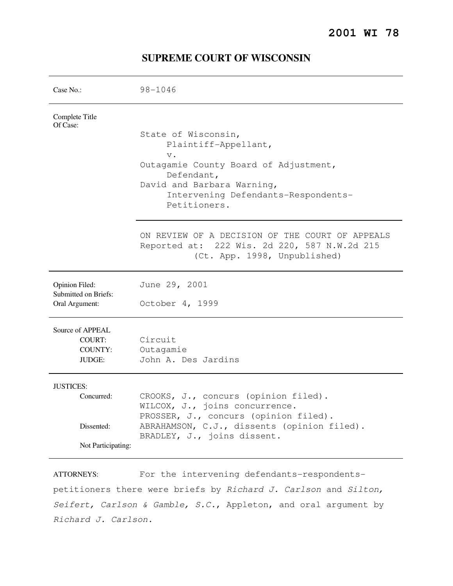| Case No.:                                                | $98 - 1046$                                                                                                                                                                                      |
|----------------------------------------------------------|--------------------------------------------------------------------------------------------------------------------------------------------------------------------------------------------------|
| Complete Title<br>Of Case:                               | State of Wisconsin,<br>Plaintiff-Appellant,<br>$V$ .<br>Outagamie County Board of Adjustment,<br>Defendant,<br>David and Barbara Warning,<br>Intervening Defendants-Respondents-<br>Petitioners. |
|                                                          | ON REVIEW OF A DECISION OF THE COURT OF APPEALS<br>Reported at: 222 Wis. 2d 220, 587 N.W.2d 215<br>(Ct. App. 1998, Unpublished)                                                                  |
| Opinion Filed:<br>Submitted on Briefs:<br>Oral Argument: | June 29, 2001<br>October 4, 1999                                                                                                                                                                 |
| Source of APPEAL<br>COURT:<br>COUNTY:<br>JUDGE:          | Circuit<br>Outagamie<br>John A. Des Jardins                                                                                                                                                      |
| <b>JUSTICES:</b><br>Concurred:                           | CROOKS, J., concurs (opinion filed).<br>WILCOX, J., joins concurrence.<br>PROSSER, J., concurs (opinion filed).                                                                                  |
| Dissented:<br>Not Participating:                         | ABRAHAMSON, C.J., dissents (opinion filed).<br>BRADLEY, J., joins dissent.                                                                                                                       |
|                                                          |                                                                                                                                                                                                  |

# **SUPREME COURT OF WISCONSIN**

ATTORNEYS: For the intervening defendants-respondentspetitioners there were briefs by Richard J. Carlson and Silton, Seifert, Carlson & Gamble, S.C., Appleton, and oral argument by Richard J. Carlson.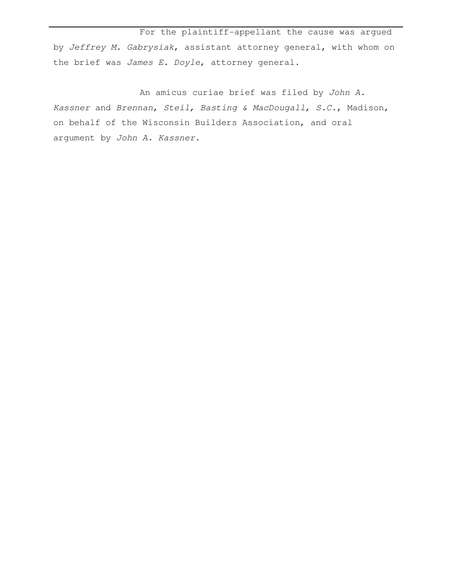For the plaintiff-appellant the cause was argued by Jeffrey M. Gabrysiak, assistant attorney general, with whom on the brief was James E. Doyle, attorney general.

 An amicus curiae brief was filed by John A. Kassner and Brennan, Steil, Basting & MacDougall, S.C., Madison, on behalf of the Wisconsin Builders Association, and oral argument by John A. Kassner.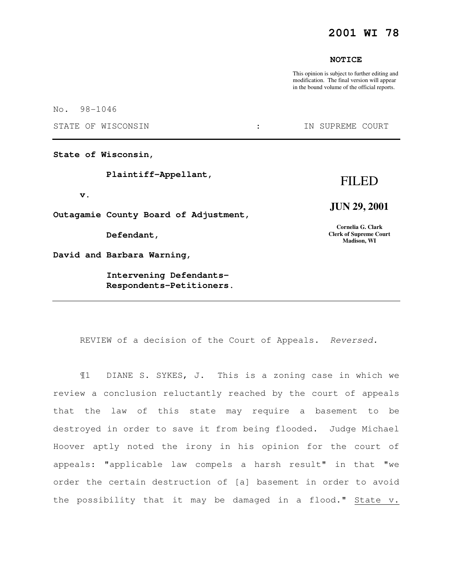## **2001 WI 78**

### **NOTICE**

This opinion is subject to further editing and modification. The final version will appear in the bound volume of the official reports.

No. 98-1046

STATE OF WISCONSIN  $\qquad \qquad : \qquad \qquad$  IN SUPREME COURT

**State of Wisconsin,** 

 **Plaintiff-Appellant,** 

 **v.** 

**Outagamie County Board of Adjustment,** 

 **Defendant,** 

**David and Barbara Warning,** 

 **Intervening Defendants- Respondents-Petitioners.** 

# FILED

## **JUN 29, 2001**

**Cornelia G. Clark Clerk of Supreme Court Madison, WI** 

REVIEW of a decision of the Court of Appeals. Reversed.

¶1 DIANE S. SYKES, J. This is a zoning case in which we review a conclusion reluctantly reached by the court of appeals that the law of this state may require a basement to be destroyed in order to save it from being flooded. Judge Michael Hoover aptly noted the irony in his opinion for the court of appeals: "applicable law compels a harsh result" in that "we order the certain destruction of [a] basement in order to avoid the possibility that it may be damaged in a flood." State v.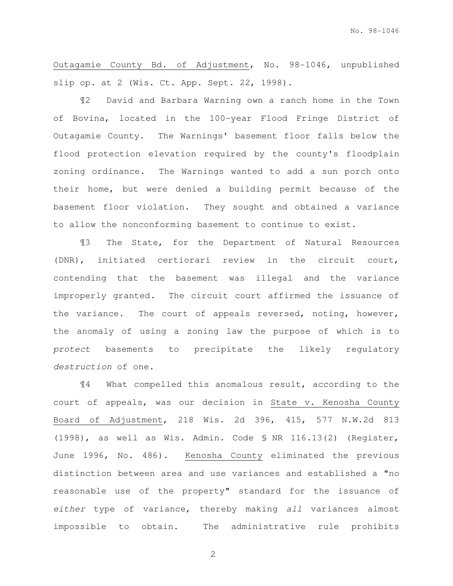Outagamie County Bd. of Adjustment, No. 98-1046, unpublished slip op. at 2 (Wis. Ct. App. Sept. 22, 1998).

¶2 David and Barbara Warning own a ranch home in the Town of Bovina, located in the 100-year Flood Fringe District of Outagamie County. The Warnings' basement floor falls below the flood protection elevation required by the county's floodplain zoning ordinance. The Warnings wanted to add a sun porch onto their home, but were denied a building permit because of the basement floor violation. They sought and obtained a variance to allow the nonconforming basement to continue to exist.

¶3 The State, for the Department of Natural Resources (DNR), initiated certiorari review in the circuit court, contending that the basement was illegal and the variance improperly granted. The circuit court affirmed the issuance of the variance. The court of appeals reversed, noting, however, the anomaly of using a zoning law the purpose of which is to protect basements to precipitate the likely regulatory destruction of one.

¶4 What compelled this anomalous result, according to the court of appeals, was our decision in State v. Kenosha County Board of Adjustment, 218 Wis. 2d 396, 415, 577 N.W.2d 813 (1998), as well as Wis. Admin. Code § NR 116.13(2) (Register, June 1996, No. 486). Kenosha County eliminated the previous distinction between area and use variances and established a "no reasonable use of the property" standard for the issuance of either type of variance, thereby making all variances almost impossible to obtain. The administrative rule prohibits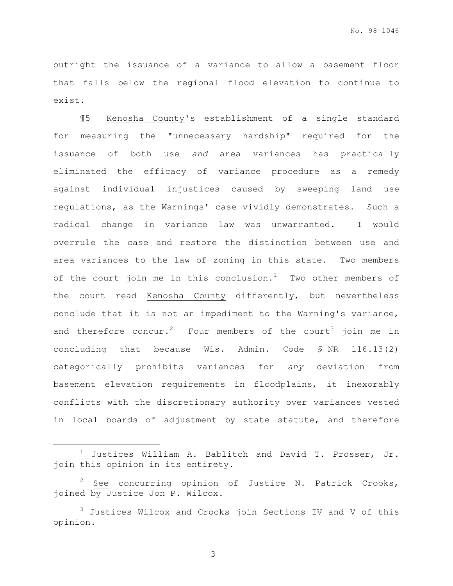outright the issuance of a variance to allow a basement floor that falls below the regional flood elevation to continue to exist.

¶5 Kenosha County's establishment of a single standard for measuring the "unnecessary hardship" required for the issuance of both use and area variances has practically eliminated the efficacy of variance procedure as a remedy against individual injustices caused by sweeping land use regulations, as the Warnings' case vividly demonstrates. Such a radical change in variance law was unwarranted. I would overrule the case and restore the distinction between use and area variances to the law of zoning in this state. Two members of the court join me in this conclusion.<sup>1</sup> Two other members of the court read Kenosha County differently, but nevertheless conclude that it is not an impediment to the Warning's variance, and therefore concur.<sup>2</sup> Four members of the court<sup>3</sup> join me in concluding that because Wis. Admin. Code § NR 116.13(2) categorically prohibits variances for any deviation from basement elevation requirements in floodplains, it inexorably conflicts with the discretionary authority over variances vested in local boards of adjustment by state statute, and therefore

e<br>S

Justices William A. Bablitch and David T. Prosser, Jr. join this opinion in its entirety.

See concurring opinion of Justice N. Patrick Crooks, joined by Justice Jon P. Wilcox.

<sup>3</sup> Justices Wilcox and Crooks join Sections IV and V of this opinion.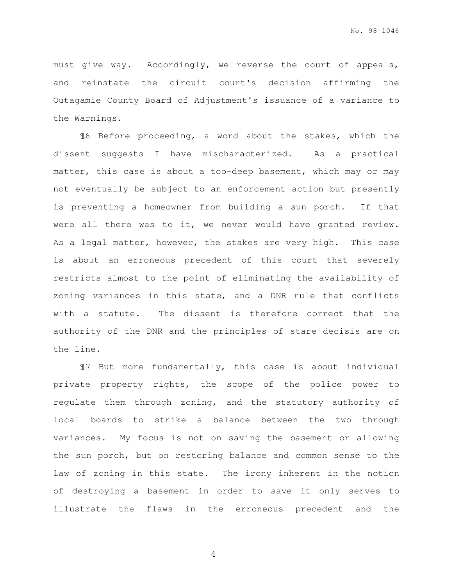must give way. Accordingly, we reverse the court of appeals, and reinstate the circuit court's decision affirming the Outagamie County Board of Adjustment's issuance of a variance to the Warnings.

¶6 Before proceeding, a word about the stakes, which the dissent suggests I have mischaracterized. As a practical matter, this case is about a too-deep basement, which may or may not eventually be subject to an enforcement action but presently is preventing a homeowner from building a sun porch. If that were all there was to it, we never would have granted review. As a legal matter, however, the stakes are very high. This case is about an erroneous precedent of this court that severely restricts almost to the point of eliminating the availability of zoning variances in this state, and a DNR rule that conflicts with a statute. The dissent is therefore correct that the authority of the DNR and the principles of stare decisis are on the line.

¶7 But more fundamentally, this case is about individual private property rights, the scope of the police power to regulate them through zoning, and the statutory authority of local boards to strike a balance between the two through variances. My focus is not on saving the basement or allowing the sun porch, but on restoring balance and common sense to the law of zoning in this state. The irony inherent in the notion of destroying a basement in order to save it only serves to illustrate the flaws in the erroneous precedent and the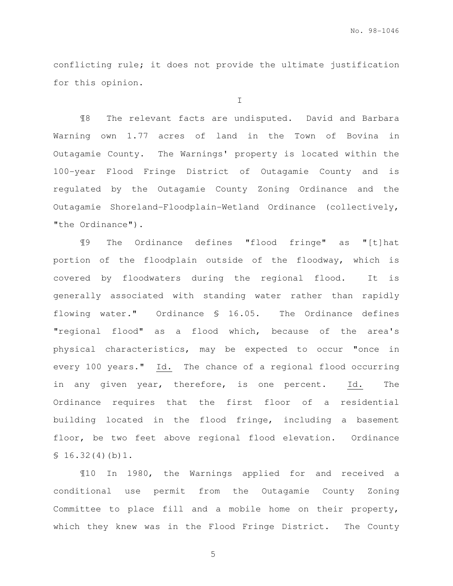conflicting rule; it does not provide the ultimate justification for this opinion.

I

 ¶8 The relevant facts are undisputed. David and Barbara Warning own 1.77 acres of land in the Town of Bovina in Outagamie County. The Warnings' property is located within the 100-year Flood Fringe District of Outagamie County and is regulated by the Outagamie County Zoning Ordinance and the Outagamie Shoreland-Floodplain-Wetland Ordinance (collectively, "the Ordinance").

¶9 The Ordinance defines "flood fringe" as "[t]hat portion of the floodplain outside of the floodway, which is covered by floodwaters during the regional flood. It is generally associated with standing water rather than rapidly flowing water." Ordinance § 16.05. The Ordinance defines "regional flood" as a flood which, because of the area's physical characteristics, may be expected to occur "once in every 100 years." Id. The chance of a regional flood occurring in any given year, therefore, is one percent. Id. The Ordinance requires that the first floor of a residential building located in the flood fringe, including a basement floor, be two feet above regional flood elevation. Ordinance  $$16.32(4)(b)1.$ 

 ¶10 In 1980, the Warnings applied for and received a conditional use permit from the Outagamie County Zoning Committee to place fill and a mobile home on their property, which they knew was in the Flood Fringe District. The County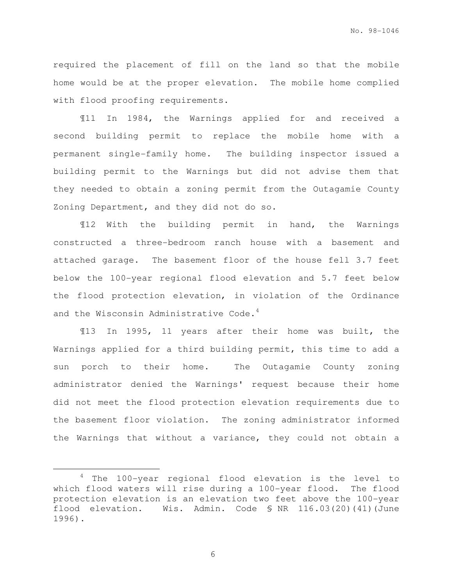required the placement of fill on the land so that the mobile home would be at the proper elevation. The mobile home complied with flood proofing requirements.

 ¶11 In 1984, the Warnings applied for and received a second building permit to replace the mobile home with a permanent single-family home. The building inspector issued a building permit to the Warnings but did not advise them that they needed to obtain a zoning permit from the Outagamie County Zoning Department, and they did not do so.

 ¶12 With the building permit in hand, the Warnings constructed a three-bedroom ranch house with a basement and attached garage. The basement floor of the house fell 3.7 feet below the 100-year regional flood elevation and 5.7 feet below the flood protection elevation, in violation of the Ordinance and the Wisconsin Administrative Code.<sup>4</sup>

¶13 In 1995, 11 years after their home was built, the Warnings applied for a third building permit, this time to add a sun porch to their home. The Outagamie County zoning administrator denied the Warnings' request because their home did not meet the flood protection elevation requirements due to the basement floor violation. The zoning administrator informed the Warnings that without a variance, they could not obtain a

6

<sup>4</sup> The 100-year regional flood elevation is the level to which flood waters will rise during a 100-year flood. The flood protection elevation is an elevation two feet above the 100-year flood elevation. Wis. Admin. Code § NR 116.03(20)(41)(June 1996).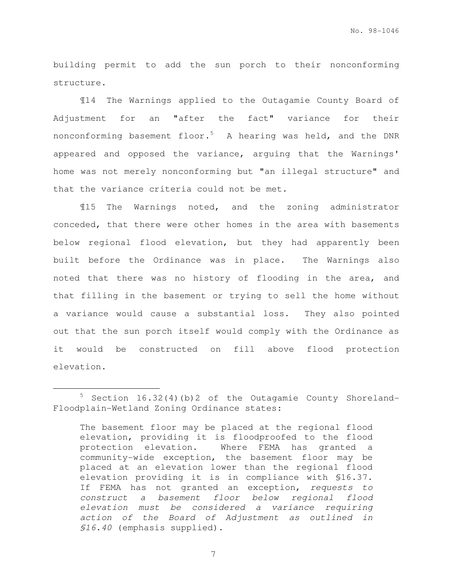building permit to add the sun porch to their nonconforming structure.

¶14 The Warnings applied to the Outagamie County Board of Adjustment for an "after the fact" variance for their nonconforming basement floor.<sup>5</sup> A hearing was held, and the DNR appeared and opposed the variance, arguing that the Warnings' home was not merely nonconforming but "an illegal structure" and that the variance criteria could not be met.

¶15 The Warnings noted, and the zoning administrator conceded, that there were other homes in the area with basements below regional flood elevation, but they had apparently been built before the Ordinance was in place. The Warnings also noted that there was no history of flooding in the area, and that filling in the basement or trying to sell the home without a variance would cause a substantial loss. They also pointed out that the sun porch itself would comply with the Ordinance as it would be constructed on fill above flood protection elevation.

e<br>S

<sup>5</sup> Section 16.32(4)(b)2 of the Outagamie County Shoreland-Floodplain-Wetland Zoning Ordinance states:

The basement floor may be placed at the regional flood elevation, providing it is floodproofed to the flood protection elevation. Where FEMA has granted a community-wide exception, the basement floor may be placed at an elevation lower than the regional flood elevation providing it is in compliance with §16.37. If FEMA has not granted an exception, requests to construct a basement floor below regional flood elevation must be considered a variance requiring action of the Board of Adjustment as outlined in §16.40 (emphasis supplied).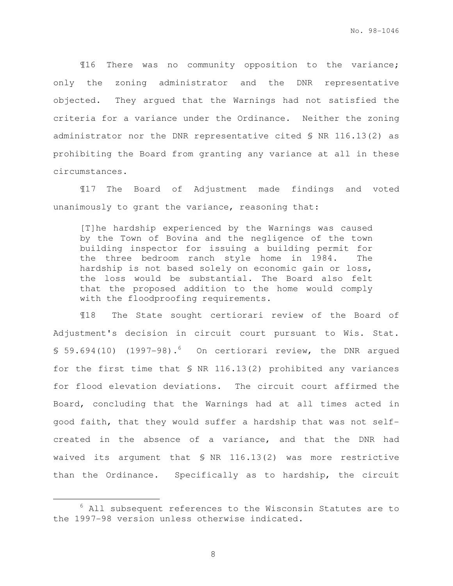¶16 There was no community opposition to the variance; only the zoning administrator and the DNR representative objected. They argued that the Warnings had not satisfied the criteria for a variance under the Ordinance. Neither the zoning administrator nor the DNR representative cited § NR 116.13(2) as prohibiting the Board from granting any variance at all in these circumstances.

¶17 The Board of Adjustment made findings and voted unanimously to grant the variance, reasoning that:

[T]he hardship experienced by the Warnings was caused by the Town of Bovina and the negligence of the town building inspector for issuing a building permit for the three bedroom ranch style home in 1984. The hardship is not based solely on economic gain or loss, the loss would be substantial. The Board also felt that the proposed addition to the home would comply with the floodproofing requirements.

¶18 The State sought certiorari review of the Board of Adjustment's decision in circuit court pursuant to Wis. Stat. § 59.694(10) (1997-98).<sup>6</sup> On certiorari review, the DNR argued for the first time that § NR 116.13(2) prohibited any variances for flood elevation deviations. The circuit court affirmed the Board, concluding that the Warnings had at all times acted in good faith, that they would suffer a hardship that was not selfcreated in the absence of a variance, and that the DNR had waived its argument that § NR 116.13(2) was more restrictive than the Ordinance. Specifically as to hardship, the circuit

 $6$  All subsequent references to the Wisconsin Statutes are to the 1997-98 version unless otherwise indicated.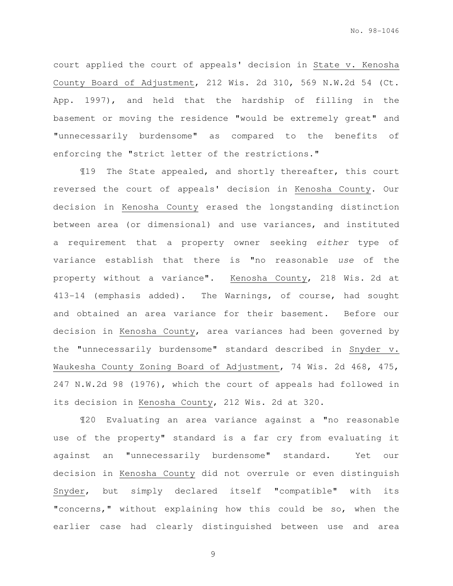court applied the court of appeals' decision in State v. Kenosha County Board of Adjustment, 212 Wis. 2d 310, 569 N.W.2d 54 (Ct. App. 1997), and held that the hardship of filling in the basement or moving the residence "would be extremely great" and "unnecessarily burdensome" as compared to the benefits of enforcing the "strict letter of the restrictions."

¶19 The State appealed, and shortly thereafter, this court reversed the court of appeals' decision in Kenosha County. Our decision in Kenosha County erased the longstanding distinction between area (or dimensional) and use variances, and instituted a requirement that a property owner seeking either type of variance establish that there is "no reasonable use of the property without a variance". Kenosha County, 218 Wis. 2d at 413-14 (emphasis added). The Warnings, of course, had sought and obtained an area variance for their basement. Before our decision in Kenosha County, area variances had been governed by the "unnecessarily burdensome" standard described in Snyder v. Waukesha County Zoning Board of Adjustment, 74 Wis. 2d 468, 475, 247 N.W.2d 98 (1976), which the court of appeals had followed in its decision in Kenosha County, 212 Wis. 2d at 320.

¶20 Evaluating an area variance against a "no reasonable use of the property" standard is a far cry from evaluating it against an "unnecessarily burdensome" standard. Yet our decision in Kenosha County did not overrule or even distinguish Snyder, but simply declared itself "compatible" with its "concerns," without explaining how this could be so, when the earlier case had clearly distinguished between use and area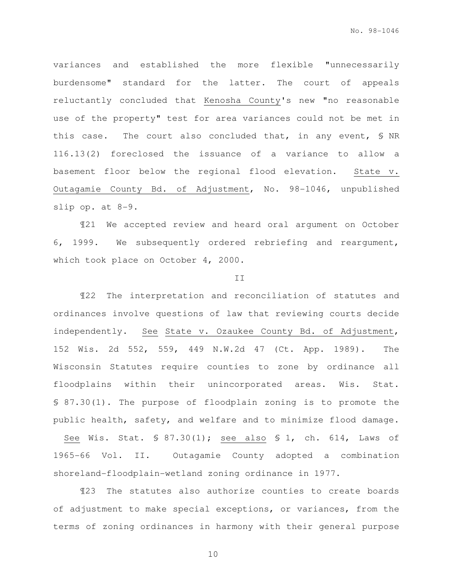variances and established the more flexible "unnecessarily burdensome" standard for the latter. The court of appeals reluctantly concluded that Kenosha County's new "no reasonable use of the property" test for area variances could not be met in this case. The court also concluded that, in any event, § NR 116.13(2) foreclosed the issuance of a variance to allow a basement floor below the regional flood elevation. State v. Outagamie County Bd. of Adjustment, No. 98-1046, unpublished slip op. at 8-9.

¶21 We accepted review and heard oral argument on October 6, 1999. We subsequently ordered rebriefing and reargument, which took place on October 4, 2000.

#### II

¶22 The interpretation and reconciliation of statutes and ordinances involve questions of law that reviewing courts decide independently. See State v. Ozaukee County Bd. of Adjustment, 152 Wis. 2d 552, 559, 449 N.W.2d 47 (Ct. App. 1989). The Wisconsin Statutes require counties to zone by ordinance all floodplains within their unincorporated areas. Wis. Stat. § 87.30(1). The purpose of floodplain zoning is to promote the public health, safety, and welfare and to minimize flood damage. See Wis. Stat. § 87.30(1); see also § 1, ch. 614, Laws of 1965-66 Vol. II. Outagamie County adopted a combination shoreland-floodplain-wetland zoning ordinance in 1977.

¶23 The statutes also authorize counties to create boards of adjustment to make special exceptions, or variances, from the terms of zoning ordinances in harmony with their general purpose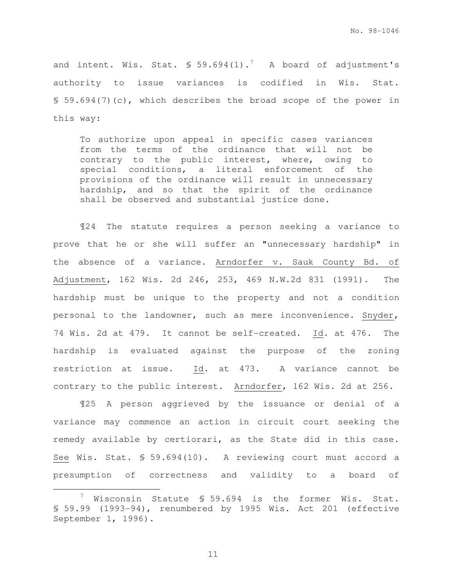and intent. Wis. Stat.  $\frac{1}{5}$  59.694(1).<sup>7</sup> A board of adjustment's authority to issue variances is codified in Wis. Stat. § 59.694(7)(c), which describes the broad scope of the power in this way:

To authorize upon appeal in specific cases variances from the terms of the ordinance that will not be contrary to the public interest, where, owing to special conditions, a literal enforcement of the provisions of the ordinance will result in unnecessary hardship, and so that the spirit of the ordinance shall be observed and substantial justice done.

¶24 The statute requires a person seeking a variance to prove that he or she will suffer an "unnecessary hardship" in the absence of a variance. Arndorfer v. Sauk County Bd. of Adjustment, 162 Wis. 2d 246, 253, 469 N.W.2d 831 (1991). The hardship must be unique to the property and not a condition personal to the landowner, such as mere inconvenience. Snyder, 74 Wis. 2d at 479. It cannot be self-created. Id. at 476. The hardship is evaluated against the purpose of the zoning restriction at issue. Id. at 473. A variance cannot be contrary to the public interest. Arndorfer, 162 Wis. 2d at 256.

¶25 A person aggrieved by the issuance or denial of a variance may commence an action in circuit court seeking the remedy available by certiorari, as the State did in this case. See Wis. Stat. § 59.694(10). A reviewing court must accord a presumption of correctness and validity to a board of

11

 $\frac{7}{1}$  Wisconsin Statute § 59.694 is the former Wis. Stat. § 59.99 (1993-94), renumbered by 1995 Wis. Act 201 (effective September 1, 1996).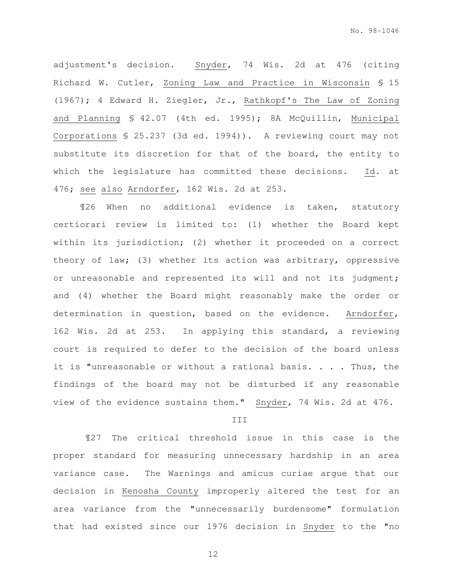adjustment's decision. Snyder, 74 Wis. 2d at 476 (citing Richard W. Cutler, Zoning Law and Practice in Wisconsin § 15 (1967); 4 Edward H. Ziegler, Jr., Rathkopf's The Law of Zoning and Planning § 42.07 (4th ed. 1995); 8A McQuillin, Municipal Corporations § 25.237 (3d ed. 1994)). A reviewing court may not substitute its discretion for that of the board, the entity to which the legislature has committed these decisions. Id. at 476; see also Arndorfer, 162 Wis. 2d at 253.

¶26 When no additional evidence is taken, statutory certiorari review is limited to: (1) whether the Board kept within its jurisdiction; (2) whether it proceeded on a correct theory of law; (3) whether its action was arbitrary, oppressive or unreasonable and represented its will and not its judgment; and (4) whether the Board might reasonably make the order or determination in question, based on the evidence. Arndorfer, 162 Wis. 2d at 253. In applying this standard, a reviewing court is required to defer to the decision of the board unless it is "unreasonable or without a rational basis. . . . Thus, the findings of the board may not be disturbed if any reasonable view of the evidence sustains them." Snyder, 74 Wis. 2d at 476.

III

 ¶27 The critical threshold issue in this case is the proper standard for measuring unnecessary hardship in an area variance case. The Warnings and amicus curiae argue that our decision in Kenosha County improperly altered the test for an area variance from the "unnecessarily burdensome" formulation that had existed since our 1976 decision in Snyder to the "no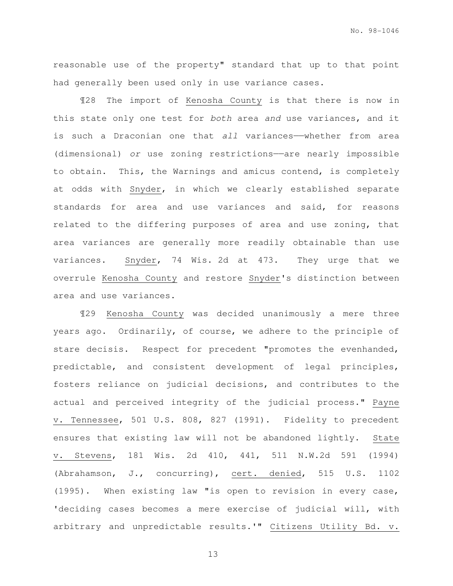reasonable use of the property" standard that up to that point had generally been used only in use variance cases.

¶28 The import of Kenosha County is that there is now in this state only one test for both area and use variances, and it is such a Draconian one that all variances—whether from area (dimensional) or use zoning restrictions——are nearly impossible to obtain. This, the Warnings and amicus contend, is completely at odds with Snyder, in which we clearly established separate standards for area and use variances and said, for reasons related to the differing purposes of area and use zoning, that area variances are generally more readily obtainable than use variances. Snyder, 74 Wis. 2d at 473. They urge that we overrule Kenosha County and restore Snyder's distinction between area and use variances.

¶29 Kenosha County was decided unanimously a mere three years ago. Ordinarily, of course, we adhere to the principle of stare decisis. Respect for precedent "promotes the evenhanded, predictable, and consistent development of legal principles, fosters reliance on judicial decisions, and contributes to the actual and perceived integrity of the judicial process." Payne v. Tennessee, 501 U.S. 808, 827 (1991). Fidelity to precedent ensures that existing law will not be abandoned lightly. State v. Stevens, 181 Wis. 2d 410, 441, 511 N.W.2d 591 (1994) (Abrahamson, J., concurring), cert. denied, 515 U.S. 1102 (1995). When existing law "is open to revision in every case, 'deciding cases becomes a mere exercise of judicial will, with arbitrary and unpredictable results.'" Citizens Utility Bd. v.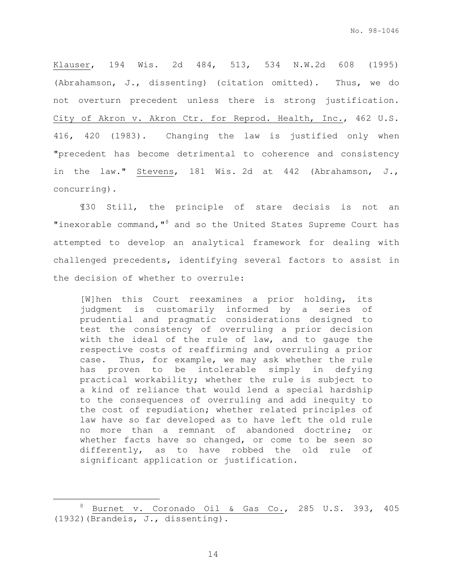Klauser, 194 Wis. 2d 484, 513, 534 N.W.2d 608 (1995) (Abrahamson, J., dissenting) (citation omitted). Thus, we do not overturn precedent unless there is strong justification. City of Akron v. Akron Ctr. for Reprod. Health, Inc., 462 U.S. 416, 420 (1983). Changing the law is justified only when "precedent has become detrimental to coherence and consistency in the law." Stevens, 181 Wis. 2d at 442 (Abrahamson, J., concurring).

¶30 Still, the principle of stare decisis is not an "inexorable command,"<sup>8</sup> and so the United States Supreme Court has attempted to develop an analytical framework for dealing with challenged precedents, identifying several factors to assist in the decision of whether to overrule:

[W]hen this Court reexamines a prior holding, its judgment is customarily informed by a series of prudential and pragmatic considerations designed to test the consistency of overruling a prior decision with the ideal of the rule of law, and to gauge the respective costs of reaffirming and overruling a prior case. Thus, for example, we may ask whether the rule has proven to be intolerable simply in defying practical workability; whether the rule is subject to a kind of reliance that would lend a special hardship to the consequences of overruling and add inequity to the cost of repudiation; whether related principles of law have so far developed as to have left the old rule no more than a remnant of abandoned doctrine; or whether facts have so changed, or come to be seen so differently, as to have robbed the old rule of significant application or justification.

<sup>8</sup> Burnet v. Coronado Oil & Gas Co., 285 U.S. 393, 405 (1932)(Brandeis, J., dissenting).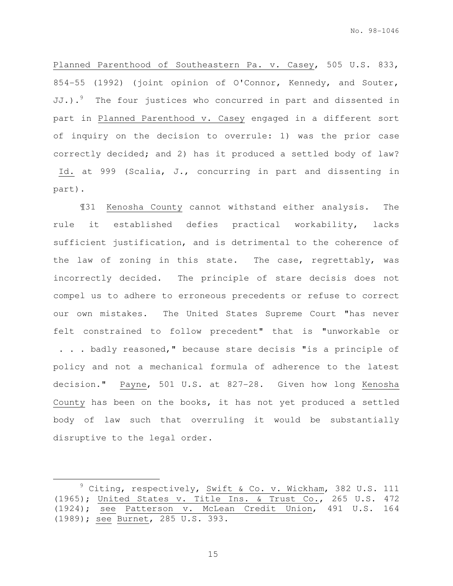Planned Parenthood of Southeastern Pa. v. Casey, 505 U.S. 833, 854-55 (1992) (joint opinion of O'Connor, Kennedy, and Souter, JJ.).<sup>9</sup> The four justices who concurred in part and dissented in part in Planned Parenthood v. Casey engaged in a different sort of inquiry on the decision to overrule: 1) was the prior case correctly decided; and 2) has it produced a settled body of law? Id. at 999 (Scalia, J., concurring in part and dissenting in part).

¶31 Kenosha County cannot withstand either analysis. The rule it established defies practical workability, lacks sufficient justification, and is detrimental to the coherence of the law of zoning in this state. The case, regrettably, was incorrectly decided. The principle of stare decisis does not compel us to adhere to erroneous precedents or refuse to correct our own mistakes. The United States Supreme Court "has never felt constrained to follow precedent" that is "unworkable or . . . badly reasoned," because stare decisis "is a principle of policy and not a mechanical formula of adherence to the latest decision." Payne, 501 U.S. at 827-28. Given how long Kenosha County has been on the books, it has not yet produced a settled body of law such that overruling it would be substantially disruptive to the legal order.

15

<sup>&</sup>lt;sup>9</sup> Citing, respectively, Swift & Co. v. Wickham, 382 U.S. 111 (1965); United States v. Title Ins. & Trust Co., 265 U.S. 472 (1924); see Patterson v. McLean Credit Union, 491 U.S. 164 (1989); see Burnet, 285 U.S. 393.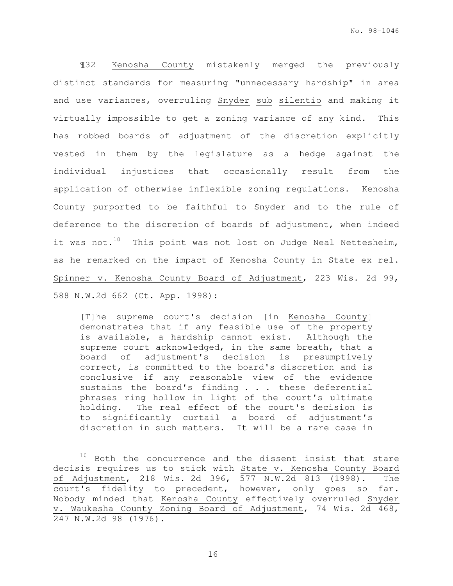¶32 Kenosha County mistakenly merged the previously distinct standards for measuring "unnecessary hardship" in area and use variances, overruling Snyder sub silentio and making it virtually impossible to get a zoning variance of any kind. This has robbed boards of adjustment of the discretion explicitly vested in them by the legislature as a hedge against the individual injustices that occasionally result from the application of otherwise inflexible zoning regulations. Kenosha County purported to be faithful to Snyder and to the rule of deference to the discretion of boards of adjustment, when indeed it was not.<sup>10</sup> This point was not lost on Judge Neal Nettesheim, as he remarked on the impact of Kenosha County in State ex rel. Spinner v. Kenosha County Board of Adjustment, 223 Wis. 2d 99, 588 N.W.2d 662 (Ct. App. 1998):

[T]he supreme court's decision [in Kenosha County] demonstrates that if any feasible use of the property is available, a hardship cannot exist. Although the supreme court acknowledged, in the same breath, that a board of adjustment's decision is presumptively correct, is committed to the board's discretion and is conclusive if any reasonable view of the evidence sustains the board's finding . . . these deferential phrases ring hollow in light of the court's ultimate holding. The real effect of the court's decision is to significantly curtail a board of adjustment's discretion in such matters. It will be a rare case in

16

 $10$  Both the concurrence and the dissent insist that stare decisis requires us to stick with State v. Kenosha County Board of Adjustment, 218 Wis. 2d 396, 577 N.W.2d 813 (1998). The court's fidelity to precedent, however, only goes so far. Nobody minded that Kenosha County effectively overruled Snyder v. Waukesha County Zoning Board of Adjustment, 74 Wis. 2d 468, 247 N.W.2d 98 (1976).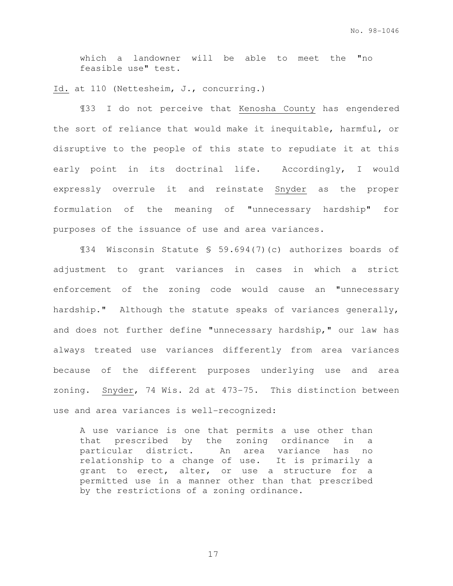which a landowner will be able to meet the "no feasible use" test.

Id. at 110 (Nettesheim, J., concurring.)

¶33 I do not perceive that Kenosha County has engendered the sort of reliance that would make it inequitable, harmful, or disruptive to the people of this state to repudiate it at this early point in its doctrinal life. Accordingly, I would expressly overrule it and reinstate Snyder as the proper formulation of the meaning of "unnecessary hardship" for purposes of the issuance of use and area variances.

¶34 Wisconsin Statute § 59.694(7)(c) authorizes boards of adjustment to grant variances in cases in which a strict enforcement of the zoning code would cause an "unnecessary hardship." Although the statute speaks of variances generally, and does not further define "unnecessary hardship," our law has always treated use variances differently from area variances because of the different purposes underlying use and area zoning. Snyder, 74 Wis. 2d at 473-75. This distinction between use and area variances is well-recognized:

A use variance is one that permits a use other than that prescribed by the zoning ordinance in a particular district. An area variance has no relationship to a change of use. It is primarily a grant to erect, alter, or use a structure for a permitted use in a manner other than that prescribed by the restrictions of a zoning ordinance.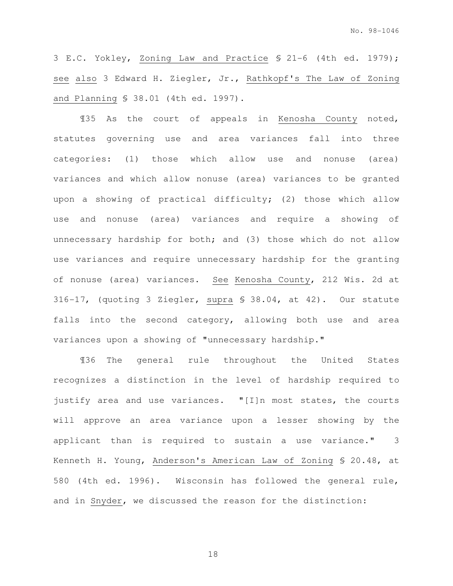3 E.C. Yokley, Zoning Law and Practice § 21-6 (4th ed. 1979); see also 3 Edward H. Ziegler, Jr., Rathkopf's The Law of Zoning and Planning § 38.01 (4th ed. 1997).

¶35 As the court of appeals in Kenosha County noted, statutes governing use and area variances fall into three categories: (1) those which allow use and nonuse (area) variances and which allow nonuse (area) variances to be granted upon a showing of practical difficulty; (2) those which allow use and nonuse (area) variances and require a showing of unnecessary hardship for both; and (3) those which do not allow use variances and require unnecessary hardship for the granting of nonuse (area) variances. See Kenosha County, 212 Wis. 2d at 316-17, (quoting 3 Ziegler, supra § 38.04, at 42). Our statute falls into the second category, allowing both use and area variances upon a showing of "unnecessary hardship."

¶36 The general rule throughout the United States recognizes a distinction in the level of hardship required to justify area and use variances. "[I]n most states, the courts will approve an area variance upon a lesser showing by the applicant than is required to sustain a use variance." 3 Kenneth H. Young, Anderson's American Law of Zoning § 20.48, at 580 (4th ed. 1996). Wisconsin has followed the general rule, and in Snyder, we discussed the reason for the distinction: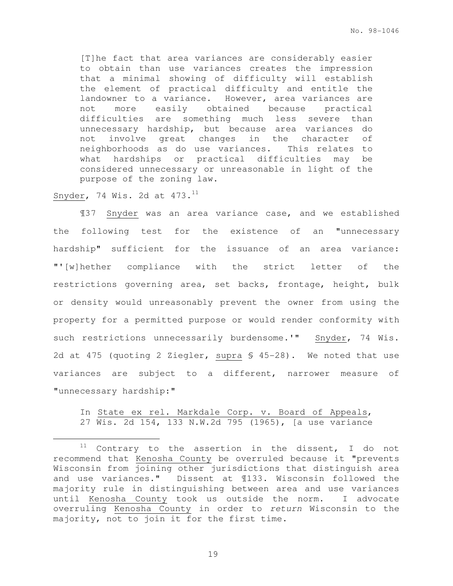[T]he fact that area variances are considerably easier to obtain than use variances creates the impression that a minimal showing of difficulty will establish the element of practical difficulty and entitle the landowner to a variance. However, area variances are not more easily obtained because practical difficulties are something much less severe than unnecessary hardship, but because area variances do not involve great changes in the character of neighborhoods as do use variances. This relates to what hardships or practical difficulties may be considered unnecessary or unreasonable in light of the purpose of the zoning law.

Snyder, 74 Wis. 2d at  $473.^{11}$ 

e<br>S

¶37 Snyder was an area variance case, and we established the following test for the existence of an "unnecessary hardship" sufficient for the issuance of an area variance: "'[w]hether compliance with the strict letter of the restrictions governing area, set backs, frontage, height, bulk or density would unreasonably prevent the owner from using the property for a permitted purpose or would render conformity with such restrictions unnecessarily burdensome.'" Snyder, 74 Wis. 2d at 475 (quoting 2 Ziegler, supra § 45-28). We noted that use variances are subject to a different, narrower measure of "unnecessary hardship:"

## In State ex rel. Markdale Corp. v. Board of Appeals, 27 Wis. 2d 154, 133 N.W.2d 795 (1965), [a use variance

 $11$  Contrary to the assertion in the dissent, I do not recommend that Kenosha County be overruled because it "prevents Wisconsin from joining other jurisdictions that distinguish area and use variances." Dissent at ¶133. Wisconsin followed the majority rule in distinguishing between area and use variances until Kenosha County took us outside the norm. I advocate overruling Kenosha County in order to return Wisconsin to the majority, not to join it for the first time.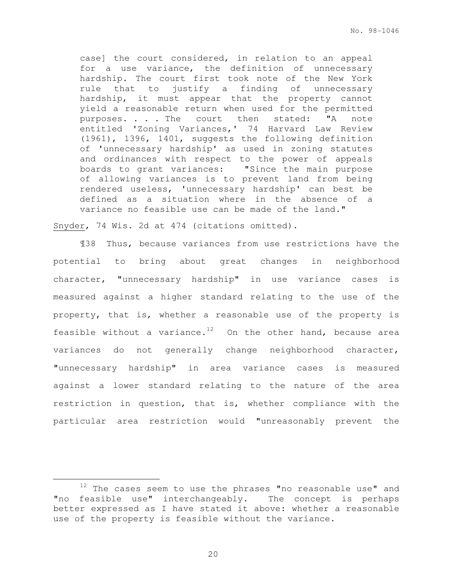case] the court considered, in relation to an appeal for a use variance, the definition of unnecessary hardship. The court first took note of the New York rule that to justify a finding of unnecessary hardship, it must appear that the property cannot yield a reasonable return when used for the permitted purposes. . . . The court then stated: "A note entitled 'Zoning Variances,' 74 Harvard Law Review (1961), 1396, 1401, suggests the following definition of 'unnecessary hardship' as used in zoning statutes and ordinances with respect to the power of appeals boards to grant variances: "Since the main purpose of allowing variances is to prevent land from being rendered useless, 'unnecessary hardship' can best be defined as a situation where in the absence of a variance no feasible use can be made of the land."

Snyder, 74 Wis. 2d at 474 (citations omitted).

e<br>S

¶38 Thus, because variances from use restrictions have the potential to bring about great changes in neighborhood character, "unnecessary hardship" in use variance cases is measured against a higher standard relating to the use of the property, that is, whether a reasonable use of the property is feasible without a variance.<sup>12</sup> On the other hand, because area variances do not generally change neighborhood character, "unnecessary hardship" in area variance cases is measured against a lower standard relating to the nature of the area restriction in question, that is, whether compliance with the particular area restriction would "unreasonably prevent the

 $12$  The cases seem to use the phrases "no reasonable use" and "no feasible use" interchangeably. The concept is perhaps better expressed as I have stated it above: whether a reasonable use of the property is feasible without the variance.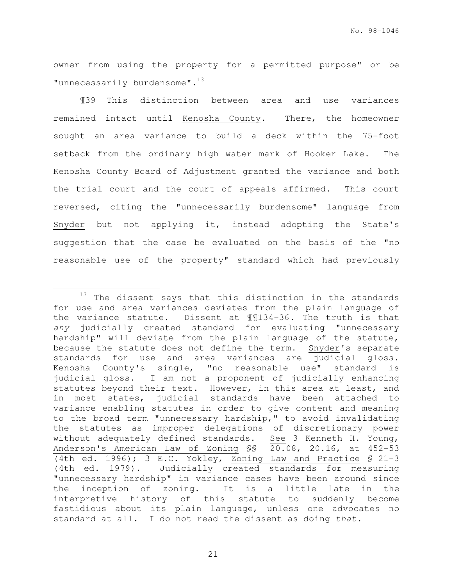owner from using the property for a permitted purpose" or be "unnecessarily burdensome".<sup>13</sup>

¶39 This distinction between area and use variances remained intact until Kenosha County. There, the homeowner sought an area variance to build a deck within the 75-foot setback from the ordinary high water mark of Hooker Lake. The Kenosha County Board of Adjustment granted the variance and both the trial court and the court of appeals affirmed. This court reversed, citing the "unnecessarily burdensome" language from Snyder but not applying it, instead adopting the State's suggestion that the case be evaluated on the basis of the "no reasonable use of the property" standard which had previously

<sup>&</sup>lt;sup>13</sup> The dissent says that this distinction in the standards for use and area variances deviates from the plain language of the variance statute. Dissent at ¶¶134-36. The truth is that any judicially created standard for evaluating "unnecessary hardship" will deviate from the plain language of the statute, because the statute does not define the term. Snyder's separate standards for use and area variances are judicial gloss. Kenosha County's single, "no reasonable use" standard is judicial gloss. I am not a proponent of judicially enhancing statutes beyond their text. However, in this area at least, and in most states, judicial standards have been attached to variance enabling statutes in order to give content and meaning to the broad term "unnecessary hardship," to avoid invalidating the statutes as improper delegations of discretionary power without adequately defined standards. See 3 Kenneth H. Young, Anderson's American Law of Zoning §§ 20.08, 20.16, at 452-53 (4th ed. 1996); 3 E.C. Yokley, Zoning Law and Practice § 21-3 (4th ed. 1979). Judicially created standards for measuring "unnecessary hardship" in variance cases have been around since the inception of zoning. It is a little late in the interpretive history of this statute to suddenly become fastidious about its plain language, unless one advocates no standard at all. I do not read the dissent as doing that.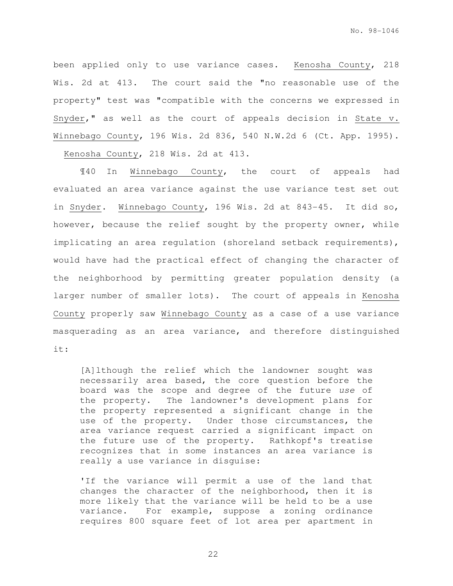been applied only to use variance cases. Kenosha County, 218 Wis. 2d at 413. The court said the "no reasonable use of the property" test was "compatible with the concerns we expressed in Snyder," as well as the court of appeals decision in State v. Winnebago County, 196 Wis. 2d 836, 540 N.W.2d 6 (Ct. App. 1995). Kenosha County, 218 Wis. 2d at 413.

¶40 In Winnebago County, the court of appeals had evaluated an area variance against the use variance test set out in Snyder. Winnebago County, 196 Wis. 2d at 843-45. It did so, however, because the relief sought by the property owner, while implicating an area regulation (shoreland setback requirements), would have had the practical effect of changing the character of the neighborhood by permitting greater population density (a larger number of smaller lots). The court of appeals in Kenosha County properly saw Winnebago County as a case of a use variance masquerading as an area variance, and therefore distinguished it:

[A]lthough the relief which the landowner sought was necessarily area based, the core question before the board was the scope and degree of the future use of the property. The landowner's development plans for the property represented a significant change in the use of the property. Under those circumstances, the area variance request carried a significant impact on the future use of the property. Rathkopf's treatise recognizes that in some instances an area variance is really a use variance in disguise:

'If the variance will permit a use of the land that changes the character of the neighborhood, then it is more likely that the variance will be held to be a use variance. For example, suppose a zoning ordinance requires 800 square feet of lot area per apartment in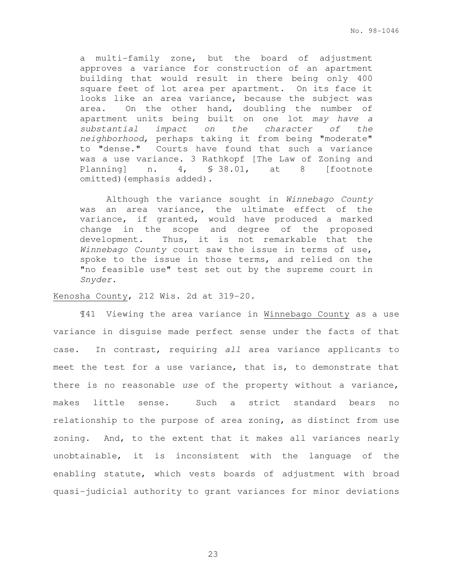a multi-family zone, but the board of adjustment approves a variance for construction of an apartment building that would result in there being only 400 square feet of lot area per apartment. On its face it looks like an area variance, because the subject was area. On the other hand, doubling the number of apartment units being built on one lot may have a substantial impact on the character of the neighborhood, perhaps taking it from being "moderate" to "dense." Courts have found that such a variance was a use variance. 3 Rathkopf [The Law of Zoning and Planning] n. 4, § 38.01, at 8 [footnote omitted) (emphasis added).

 Although the variance sought in Winnebago County was an area variance, the ultimate effect of the variance, if granted, would have produced a marked change in the scope and degree of the proposed development. Thus, it is not remarkable that the Winnebago County court saw the issue in terms of use, spoke to the issue in those terms, and relied on the "no feasible use" test set out by the supreme court in Snyder.

#### Kenosha County, 212 Wis. 2d at 319-20.

¶41 Viewing the area variance in Winnebago County as a use variance in disguise made perfect sense under the facts of that case. In contrast, requiring all area variance applicants to meet the test for a use variance, that is, to demonstrate that there is no reasonable use of the property without a variance, makes little sense. Such a strict standard bears no relationship to the purpose of area zoning, as distinct from use zoning. And, to the extent that it makes all variances nearly unobtainable, it is inconsistent with the language of the enabling statute, which vests boards of adjustment with broad quasi-judicial authority to grant variances for minor deviations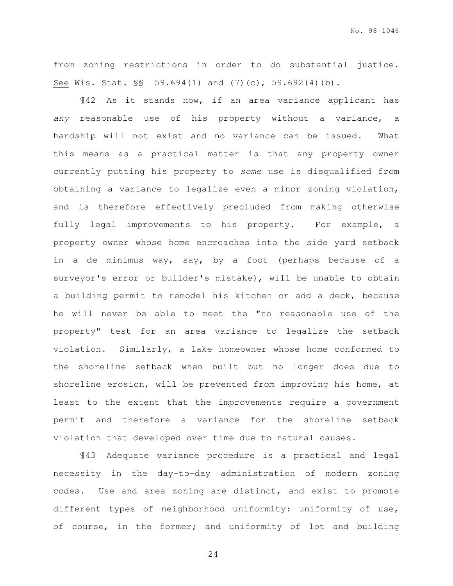from zoning restrictions in order to do substantial justice. See Wis. Stat. §§ 59.694(1) and (7)(c), 59.692(4)(b).

¶42 As it stands now, if an area variance applicant has any reasonable use of his property without a variance, a hardship will not exist and no variance can be issued. What this means as a practical matter is that any property owner currently putting his property to some use is disqualified from obtaining a variance to legalize even a minor zoning violation, and is therefore effectively precluded from making otherwise fully legal improvements to his property. For example, a property owner whose home encroaches into the side yard setback in a de minimus way, say, by a foot (perhaps because of a surveyor's error or builder's mistake), will be unable to obtain a building permit to remodel his kitchen or add a deck, because he will never be able to meet the "no reasonable use of the property" test for an area variance to legalize the setback violation. Similarly, a lake homeowner whose home conformed to the shoreline setback when built but no longer does due to shoreline erosion, will be prevented from improving his home, at least to the extent that the improvements require a government permit and therefore a variance for the shoreline setback violation that developed over time due to natural causes.

¶43 Adequate variance procedure is a practical and legal necessity in the day-to-day administration of modern zoning codes. Use and area zoning are distinct, and exist to promote different types of neighborhood uniformity: uniformity of use, of course, in the former; and uniformity of lot and building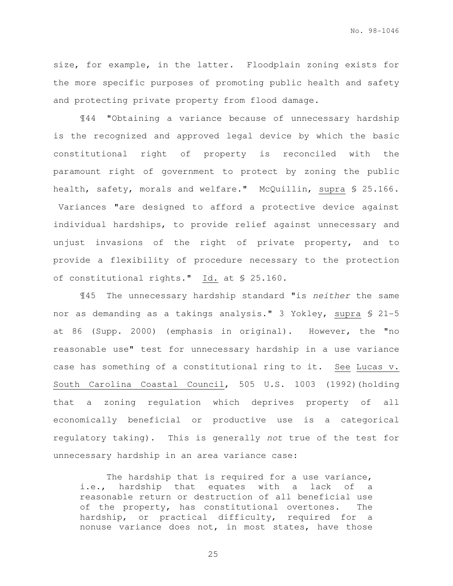size, for example, in the latter. Floodplain zoning exists for the more specific purposes of promoting public health and safety and protecting private property from flood damage.

¶44 "Obtaining a variance because of unnecessary hardship is the recognized and approved legal device by which the basic constitutional right of property is reconciled with the paramount right of government to protect by zoning the public health, safety, morals and welfare." McQuillin, supra § 25.166. Variances "are designed to afford a protective device against individual hardships, to provide relief against unnecessary and unjust invasions of the right of private property, and to provide a flexibility of procedure necessary to the protection of constitutional rights." Id. at § 25.160.

¶45 The unnecessary hardship standard "is neither the same nor as demanding as a takings analysis." 3 Yokley, supra § 21-5 at 86 (Supp. 2000) (emphasis in original). However, the "no reasonable use" test for unnecessary hardship in a use variance case has something of a constitutional ring to it. See Lucas v. South Carolina Coastal Council, 505 U.S. 1003 (1992)(holding that a zoning regulation which deprives property of all economically beneficial or productive use is a categorical regulatory taking). This is generally not true of the test for unnecessary hardship in an area variance case:

The hardship that is required for a use variance, i.e., hardship that equates with a lack of a reasonable return or destruction of all beneficial use of the property, has constitutional overtones. The hardship, or practical difficulty, required for a nonuse variance does not, in most states, have those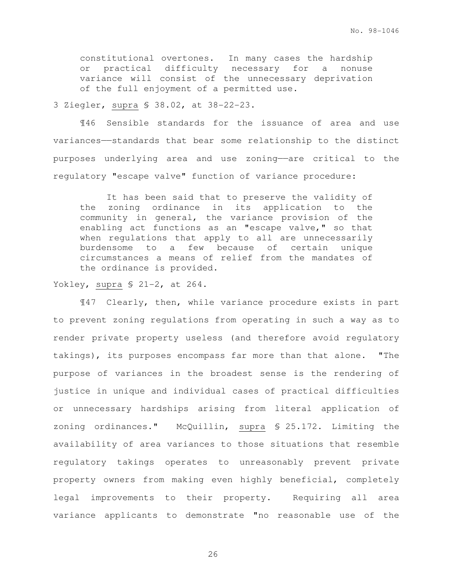constitutional overtones. In many cases the hardship or practical difficulty necessary for a nonuse variance will consist of the unnecessary deprivation of the full enjoyment of a permitted use.

3 Ziegler, supra § 38.02, at 38-22-23.

¶46 Sensible standards for the issuance of area and use variances——standards that bear some relationship to the distinct purposes underlying area and use zoning——are critical to the regulatory "escape valve" function of variance procedure:

It has been said that to preserve the validity of the zoning ordinance in its application to the community in general, the variance provision of the enabling act functions as an "escape valve," so that when regulations that apply to all are unnecessarily burdensome to a few because of certain unique circumstances a means of relief from the mandates of the ordinance is provided.

Yokley, supra § 21-2, at 264.

¶47 Clearly, then, while variance procedure exists in part to prevent zoning regulations from operating in such a way as to render private property useless (and therefore avoid regulatory takings), its purposes encompass far more than that alone. "The purpose of variances in the broadest sense is the rendering of justice in unique and individual cases of practical difficulties or unnecessary hardships arising from literal application of zoning ordinances." McQuillin, supra § 25.172. Limiting the availability of area variances to those situations that resemble regulatory takings operates to unreasonably prevent private property owners from making even highly beneficial, completely legal improvements to their property. Requiring all area variance applicants to demonstrate "no reasonable use of the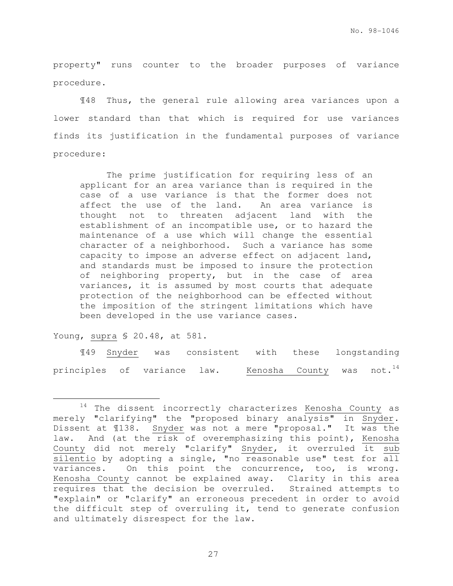property" runs counter to the broader purposes of variance procedure.

¶48 Thus, the general rule allowing area variances upon a lower standard than that which is required for use variances finds its justification in the fundamental purposes of variance procedure:

The prime justification for requiring less of an applicant for an area variance than is required in the case of a use variance is that the former does not affect the use of the land. An area variance is thought not to threaten adjacent land with the establishment of an incompatible use, or to hazard the maintenance of a use which will change the essential character of a neighborhood. Such a variance has some capacity to impose an adverse effect on adjacent land, and standards must be imposed to insure the protection of neighboring property, but in the case of area variances, it is assumed by most courts that adequate protection of the neighborhood can be effected without the imposition of the stringent limitations which have been developed in the use variance cases.

Young, supra § 20.48, at 581.

e<br>S

¶49 Snyder was consistent with these longstanding principles of variance law. Kenosha County was not.<sup>14</sup>

 $14$  The dissent incorrectly characterizes Kenosha County as merely "clarifying" the "proposed binary analysis" in Snyder. Dissent at ¶138. Snyder was not a mere "proposal." It was the law. And (at the risk of overemphasizing this point), Kenosha County did not merely "clarify" Snyder, it overruled it sub silentio by adopting a single, "no reasonable use" test for all variances. On this point the concurrence, too, is wrong. Kenosha County cannot be explained away. Clarity in this area requires that the decision be overruled. Strained attempts to "explain" or "clarify" an erroneous precedent in order to avoid the difficult step of overruling it, tend to generate confusion and ultimately disrespect for the law.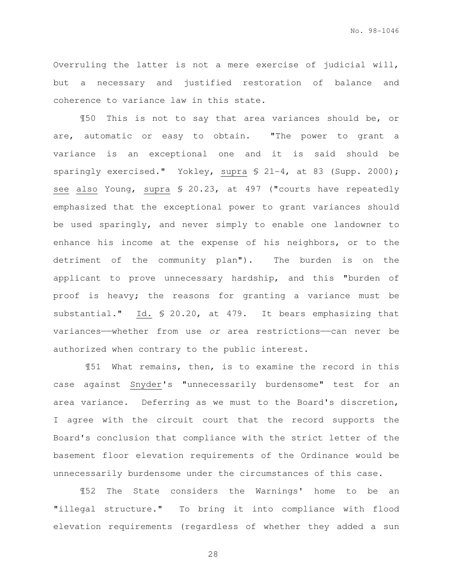Overruling the latter is not a mere exercise of judicial will, but a necessary and justified restoration of balance and coherence to variance law in this state.

¶50 This is not to say that area variances should be, or are, automatic or easy to obtain. "The power to grant a variance is an exceptional one and it is said should be sparingly exercised." Yokley, supra § 21-4, at 83 (Supp. 2000); see also Young, supra § 20.23, at 497 ("courts have repeatedly emphasized that the exceptional power to grant variances should be used sparingly, and never simply to enable one landowner to enhance his income at the expense of his neighbors, or to the detriment of the community plan"). The burden is on the applicant to prove unnecessary hardship, and this "burden of proof is heavy; the reasons for granting a variance must be substantial." Id. § 20.20, at 479. It bears emphasizing that variances——whether from use or area restrictions——can never be authorized when contrary to the public interest.

 ¶51 What remains, then, is to examine the record in this case against Snyder's "unnecessarily burdensome" test for an area variance. Deferring as we must to the Board's discretion, I agree with the circuit court that the record supports the Board's conclusion that compliance with the strict letter of the basement floor elevation requirements of the Ordinance would be unnecessarily burdensome under the circumstances of this case.

¶52 The State considers the Warnings' home to be an "illegal structure." To bring it into compliance with flood elevation requirements (regardless of whether they added a sun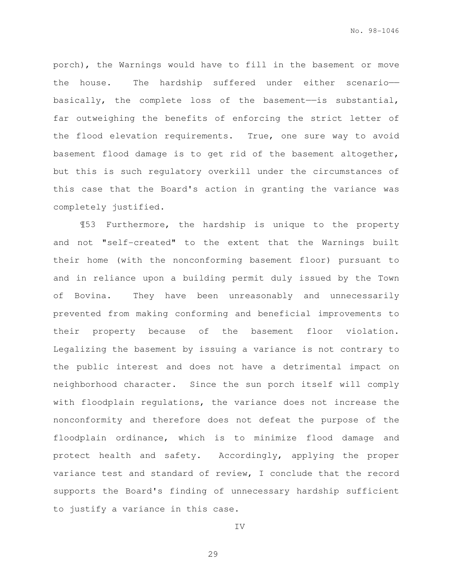porch), the Warnings would have to fill in the basement or move the house. The hardship suffered under either scenario— basically, the complete loss of the basement——is substantial, far outweighing the benefits of enforcing the strict letter of the flood elevation requirements. True, one sure way to avoid basement flood damage is to get rid of the basement altogether, but this is such regulatory overkill under the circumstances of this case that the Board's action in granting the variance was completely justified.

¶53 Furthermore, the hardship is unique to the property and not "self-created" to the extent that the Warnings built their home (with the nonconforming basement floor) pursuant to and in reliance upon a building permit duly issued by the Town of Bovina. They have been unreasonably and unnecessarily prevented from making conforming and beneficial improvements to their property because of the basement floor violation. Legalizing the basement by issuing a variance is not contrary to the public interest and does not have a detrimental impact on neighborhood character. Since the sun porch itself will comply with floodplain regulations, the variance does not increase the nonconformity and therefore does not defeat the purpose of the floodplain ordinance, which is to minimize flood damage and protect health and safety. Accordingly, applying the proper variance test and standard of review, I conclude that the record supports the Board's finding of unnecessary hardship sufficient to justify a variance in this case.

IV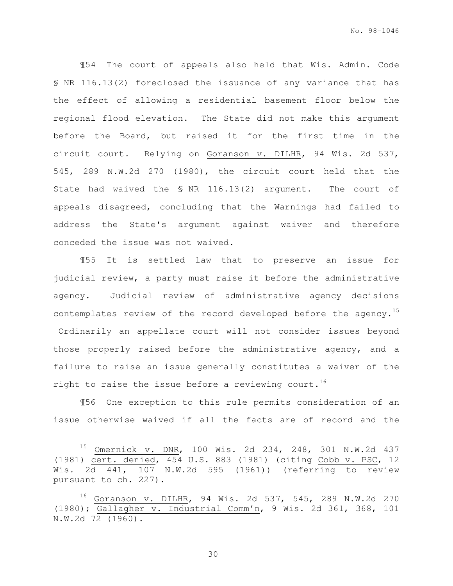¶54 The court of appeals also held that Wis. Admin. Code § NR 116.13(2) foreclosed the issuance of any variance that has the effect of allowing a residential basement floor below the regional flood elevation. The State did not make this argument before the Board, but raised it for the first time in the circuit court. Relying on Goranson v. DILHR, 94 Wis. 2d 537, 545, 289 N.W.2d 270 (1980), the circuit court held that the State had waived the § NR 116.13(2) argument. The court of appeals disagreed, concluding that the Warnings had failed to address the State's argument against waiver and therefore conceded the issue was not waived.

¶55 It is settled law that to preserve an issue for judicial review, a party must raise it before the administrative agency. Judicial review of administrative agency decisions contemplates review of the record developed before the agency.<sup>15</sup> Ordinarily an appellate court will not consider issues beyond those properly raised before the administrative agency, and a failure to raise an issue generally constitutes a waiver of the right to raise the issue before a reviewing court.<sup>16</sup>

¶56 One exception to this rule permits consideration of an issue otherwise waived if all the facts are of record and the

e<br>S

<sup>15</sup> Omernick v. DNR, 100 Wis. 2d 234, 248, 301 N.W.2d 437 (1981) cert. denied, 454 U.S. 883 (1981) (citing Cobb v. PSC, 12 Wis. 2d 441, 107 N.W.2d 595 (1961)) (referring to review pursuant to ch. 227).

<sup>16</sup> Goranson v. DILHR, 94 Wis. 2d 537, 545, 289 N.W.2d 270 (1980); Gallagher v. Industrial Comm'n, 9 Wis. 2d 361, 368, 101 N.W.2d 72 (1960).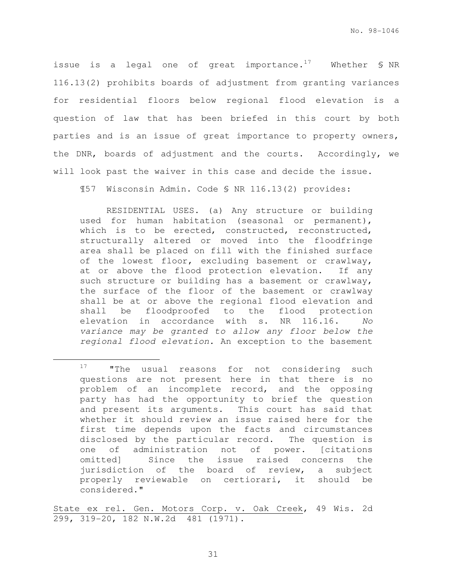issue is a legal one of great importance.<sup>17</sup> Whether  $\frac{1}{5}$  NR 116.13(2) prohibits boards of adjustment from granting variances for residential floors below regional flood elevation is a question of law that has been briefed in this court by both parties and is an issue of great importance to property owners, the DNR, boards of adjustment and the courts. Accordingly, we will look past the waiver in this case and decide the issue.

¶57 Wisconsin Admin. Code § NR 116.13(2) provides:

RESIDENTIAL USES. (a) Any structure or building used for human habitation (seasonal or permanent), which is to be erected, constructed, reconstructed, structurally altered or moved into the floodfringe area shall be placed on fill with the finished surface of the lowest floor, excluding basement or crawlway, at or above the flood protection elevation. If any such structure or building has a basement or crawlway, the surface of the floor of the basement or crawlway shall be at or above the regional flood elevation and shall be floodproofed to the flood protection elevation in accordance with s. NR 116.16. No variance may be granted to allow any floor below the regional flood elevation. An exception to the basement

e<br>S

State ex rel. Gen. Motors Corp. v. Oak Creek, 49 Wis. 2d 299, 319-20, 182 N.W.2d 481 (1971).

<sup>&</sup>lt;sup>17</sup> "The usual reasons for not considering such questions are not present here in that there is no problem of an incomplete record, and the opposing party has had the opportunity to brief the question and present its arguments. This court has said that whether it should review an issue raised here for the first time depends upon the facts and circumstances disclosed by the particular record. The question is one of administration not of power. [citations omitted] Since the issue raised concerns the jurisdiction of the board of review, a subject properly reviewable on certiorari, it should be considered."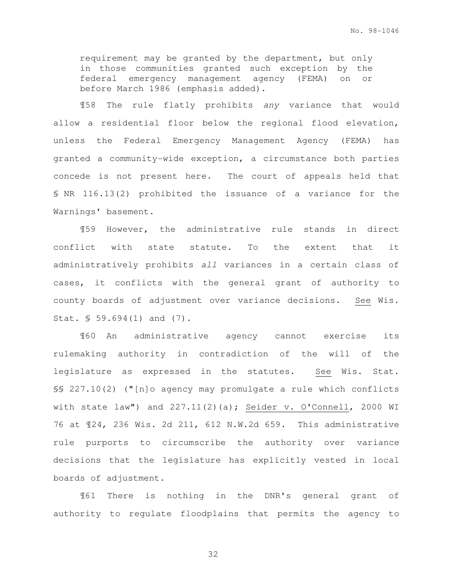requirement may be granted by the department, but only in those communities granted such exception by the federal emergency management agency (FEMA) on or before March 1986 (emphasis added).

¶58 The rule flatly prohibits any variance that would allow a residential floor below the regional flood elevation, unless the Federal Emergency Management Agency (FEMA) has granted a community-wide exception, a circumstance both parties concede is not present here. The court of appeals held that § NR 116.13(2) prohibited the issuance of a variance for the Warnings' basement.

¶59 However, the administrative rule stands in direct conflict with state statute. To the extent that it administratively prohibits all variances in a certain class of cases, it conflicts with the general grant of authority to county boards of adjustment over variance decisions. See Wis. Stat. § 59.694(1) and (7).

¶60 An administrative agency cannot exercise its rulemaking authority in contradiction of the will of the legislature as expressed in the statutes. See Wis. Stat. §§ 227.10(2) ("[n]o agency may promulgate a rule which conflicts with state law") and 227.11(2)(a); Seider v. O'Connell, 2000 WI 76 at ¶24, 236 Wis. 2d 211, 612 N.W.2d 659. This administrative rule purports to circumscribe the authority over variance decisions that the legislature has explicitly vested in local boards of adjustment.

¶61 There is nothing in the DNR's general grant of authority to regulate floodplains that permits the agency to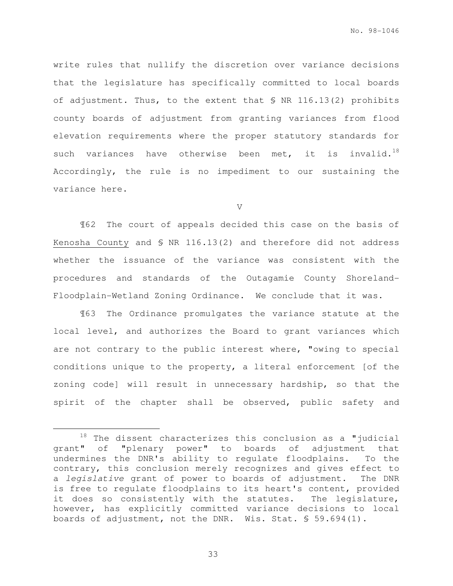write rules that nullify the discretion over variance decisions that the legislature has specifically committed to local boards of adjustment. Thus, to the extent that § NR 116.13(2) prohibits county boards of adjustment from granting variances from flood elevation requirements where the proper statutory standards for such variances have otherwise been met, it is invalid.<sup>18</sup> Accordingly, the rule is no impediment to our sustaining the variance here.

V

¶62 The court of appeals decided this case on the basis of Kenosha County and § NR 116.13(2) and therefore did not address whether the issuance of the variance was consistent with the procedures and standards of the Outagamie County Shoreland-Floodplain-Wetland Zoning Ordinance. We conclude that it was.

¶63 The Ordinance promulgates the variance statute at the local level, and authorizes the Board to grant variances which are not contrary to the public interest where, "owing to special conditions unique to the property, a literal enforcement [of the zoning code] will result in unnecessary hardship, so that the spirit of the chapter shall be observed, public safety and

e<br>S

 $18$  The dissent characterizes this conclusion as a "judicial grant" of "plenary power" to boards of adjustment that undermines the DNR's ability to regulate floodplains. To the contrary, this conclusion merely recognizes and gives effect to a legislative grant of power to boards of adjustment. The DNR is free to regulate floodplains to its heart's content, provided it does so consistently with the statutes. The legislature, however, has explicitly committed variance decisions to local boards of adjustment, not the DNR. Wis. Stat. § 59.694(1).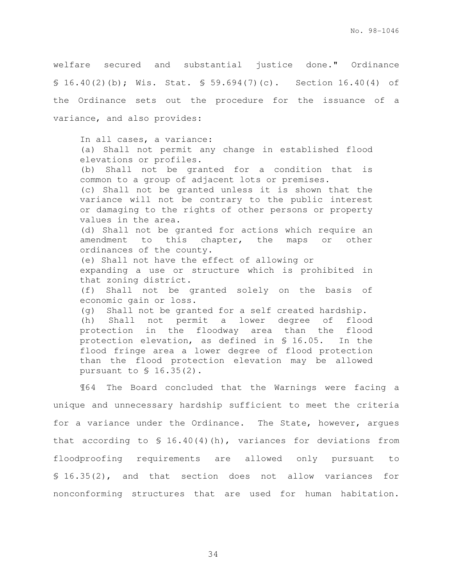welfare secured and substantial justice done." Ordinance § 16.40(2)(b); Wis. Stat. § 59.694(7)(c). Section 16.40(4) of the Ordinance sets out the procedure for the issuance of a variance, and also provides:

In all cases, a variance: (a) Shall not permit any change in established flood elevations or profiles. (b) Shall not be granted for a condition that is common to a group of adjacent lots or premises. (c) Shall not be granted unless it is shown that the variance will not be contrary to the public interest or damaging to the rights of other persons or property values in the area. (d) Shall not be granted for actions which require an amendment to this chapter, the maps or other ordinances of the county. (e) Shall not have the effect of allowing or expanding a use or structure which is prohibited in that zoning district. (f) Shall not be granted solely on the basis of economic gain or loss. (g) Shall not be granted for a self created hardship. (h) Shall not permit a lower degree of flood protection in the floodway area than the flood protection elevation, as defined in § 16.05. In the flood fringe area a lower degree of flood protection than the flood protection elevation may be allowed pursuant to § 16.35(2).

¶64 The Board concluded that the Warnings were facing a unique and unnecessary hardship sufficient to meet the criteria for a variance under the Ordinance. The State, however, argues that according to  $$ 16.40(4)(h)$ , variances for deviations from floodproofing requirements are allowed only pursuant to § 16.35(2), and that section does not allow variances for nonconforming structures that are used for human habitation.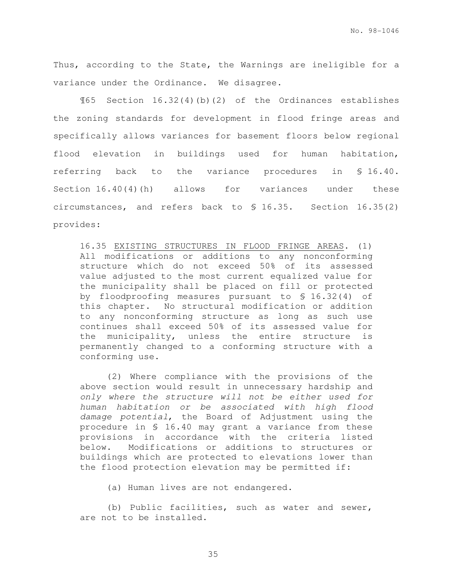Thus, according to the State, the Warnings are ineligible for a variance under the Ordinance. We disagree.

¶65 Section 16.32(4)(b)(2) of the Ordinances establishes the zoning standards for development in flood fringe areas and specifically allows variances for basement floors below regional flood elevation in buildings used for human habitation, referring back to the variance procedures in § 16.40. Section 16.40(4)(h) allows for variances under these circumstances, and refers back to § 16.35. Section 16.35(2) provides:

16.35 EXISTING STRUCTURES IN FLOOD FRINGE AREAS. (1) All modifications or additions to any nonconforming structure which do not exceed 50% of its assessed value adjusted to the most current equalized value for the municipality shall be placed on fill or protected by floodproofing measures pursuant to § 16.32(4) of this chapter. No structural modification or addition to any nonconforming structure as long as such use continues shall exceed 50% of its assessed value for the municipality, unless the entire structure is permanently changed to a conforming structure with a conforming use.

(2) Where compliance with the provisions of the above section would result in unnecessary hardship and only where the structure will not be either used for human habitation or be associated with high flood damage potential, the Board of Adjustment using the procedure in § 16.40 may grant a variance from these provisions in accordance with the criteria listed below. Modifications or additions to structures or buildings which are protected to elevations lower than the flood protection elevation may be permitted if:

(a) Human lives are not endangered.

(b) Public facilities, such as water and sewer, are not to be installed.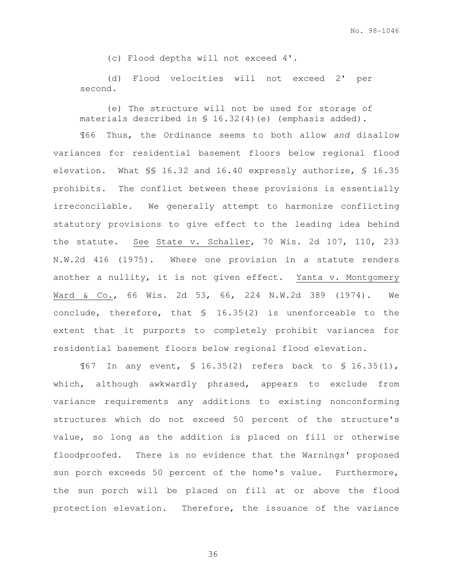(c) Flood depths will not exceed 4'.

(d) Flood velocities will not exceed 2' per second.

(e) The structure will not be used for storage of materials described in § 16.32(4)(e) (emphasis added).

¶66 Thus, the Ordinance seems to both allow and disallow variances for residential basement floors below regional flood elevation. What §§ 16.32 and 16.40 expressly authorize, § 16.35 prohibits. The conflict between these provisions is essentially irreconcilable. We generally attempt to harmonize conflicting statutory provisions to give effect to the leading idea behind the statute. See State v. Schaller, 70 Wis. 2d 107, 110, 233 N.W.2d 416 (1975). Where one provision in a statute renders another a nullity, it is not given effect. Yanta v. Montgomery Ward & Co., 66 Wis. 2d 53, 66, 224 N.W.2d 389 (1974).We conclude, therefore, that § 16.35(2) is unenforceable to the extent that it purports to completely prohibit variances for residential basement floors below regional flood elevation.

¶67 In any event, § 16.35(2) refers back to § 16.35(1), which, although awkwardly phrased, appears to exclude from variance requirements any additions to existing nonconforming structures which do not exceed 50 percent of the structure's value, so long as the addition is placed on fill or otherwise floodproofed. There is no evidence that the Warnings' proposed sun porch exceeds 50 percent of the home's value. Furthermore, the sun porch will be placed on fill at or above the flood protection elevation. Therefore, the issuance of the variance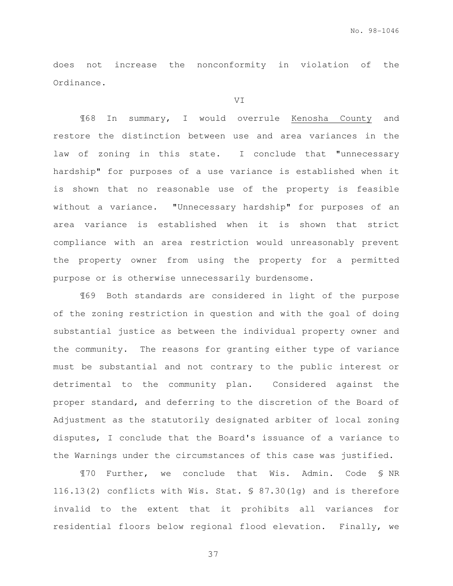does not increase the nonconformity in violation of the Ordinance.

VI

¶68 In summary, I would overrule Kenosha County and restore the distinction between use and area variances in the law of zoning in this state. I conclude that "unnecessary hardship" for purposes of a use variance is established when it is shown that no reasonable use of the property is feasible without a variance. "Unnecessary hardship" for purposes of an area variance is established when it is shown that strict compliance with an area restriction would unreasonably prevent the property owner from using the property for a permitted purpose or is otherwise unnecessarily burdensome.

¶69 Both standards are considered in light of the purpose of the zoning restriction in question and with the goal of doing substantial justice as between the individual property owner and the community. The reasons for granting either type of variance must be substantial and not contrary to the public interest or detrimental to the community plan. Considered against the proper standard, and deferring to the discretion of the Board of Adjustment as the statutorily designated arbiter of local zoning disputes, I conclude that the Board's issuance of a variance to the Warnings under the circumstances of this case was justified.

¶70 Further, we conclude that Wis. Admin. Code § NR 116.13(2) conflicts with Wis. Stat. § 87.30(1g) and is therefore invalid to the extent that it prohibits all variances for residential floors below regional flood elevation. Finally, we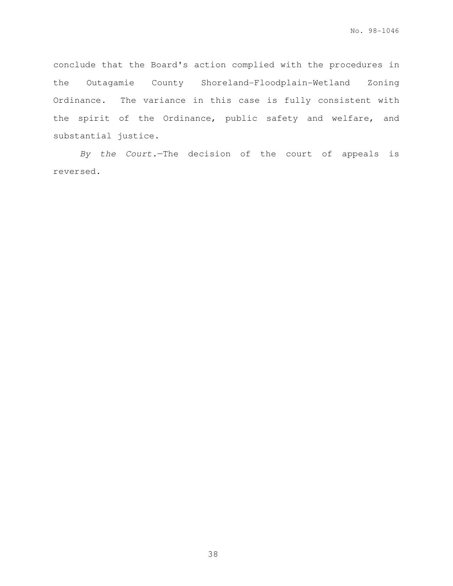conclude that the Board's action complied with the procedures in the Outagamie County Shoreland-Floodplain-Wetland Zoning Ordinance. The variance in this case is fully consistent with the spirit of the Ordinance, public safety and welfare, and substantial justice.

By the Court.—The decision of the court of appeals is reversed.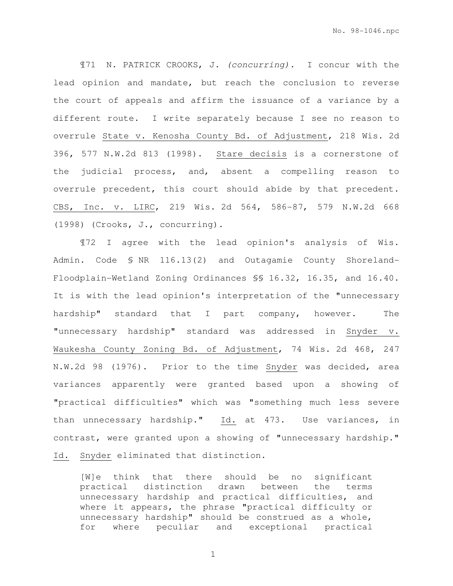¶71 N. PATRICK CROOKS, J. (concurring). I concur with the lead opinion and mandate, but reach the conclusion to reverse the court of appeals and affirm the issuance of a variance by a different route. I write separately because I see no reason to overrule State v. Kenosha County Bd. of Adjustment, 218 Wis. 2d 396, 577 N.W.2d 813 (1998). Stare decisis is a cornerstone of the judicial process, and, absent a compelling reason to overrule precedent, this court should abide by that precedent. CBS, Inc. v. LIRC, 219 Wis. 2d 564, 586-87, 579 N.W.2d 668 (1998) (Crooks, J., concurring).

¶72 I agree with the lead opinion's analysis of Wis. Admin. Code § NR 116.13(2) and Outagamie County Shoreland-Floodplain-Wetland Zoning Ordinances §§ 16.32, 16.35, and 16.40. It is with the lead opinion's interpretation of the "unnecessary hardship" standard that I part company, however. The "unnecessary hardship" standard was addressed in Snyder v. Waukesha County Zoning Bd. of Adjustment, 74 Wis. 2d 468, 247 N.W.2d 98 (1976). Prior to the time Snyder was decided, area variances apparently were granted based upon a showing of "practical difficulties" which was "something much less severe than unnecessary hardship." Id. at 473. Use variances, in contrast, were granted upon a showing of "unnecessary hardship." Id. Snyder eliminated that distinction.

[W]e think that there should be no significant practical distinction drawn between the terms unnecessary hardship and practical difficulties, and where it appears, the phrase "practical difficulty or unnecessary hardship" should be construed as a whole, for where peculiar and exceptional practical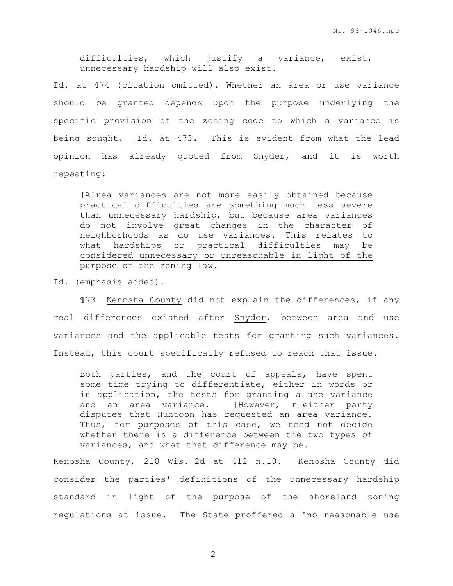difficulties, which justify a variance, exist, unnecessary hardship will also exist.

Id. at 474 (citation omitted). Whether an area or use variance should be granted depends upon the purpose underlying the specific provision of the zoning code to which a variance is being sought. Id. at 473. This is evident from what the lead opinion has already quoted from Snyder, and it is worth repeating:

[A]rea variances are not more easily obtained because practical difficulties are something much less severe than unnecessary hardship, but because area variances do not involve great changes in the character of neighborhoods as do use variances. This relates to what hardships or practical difficulties may be considered unnecessary or unreasonable in light of the purpose of the zoning law.

Id. (emphasis added).

¶73 Kenosha County did not explain the differences, if any real differences existed after Snyder, between area and use variances and the applicable tests for granting such variances. Instead, this court specifically refused to reach that issue.

Both parties, and the court of appeals, have spent some time trying to differentiate, either in words or in application, the tests for granting a use variance and an area variance. [However, n]either party disputes that Huntoon has requested an area variance. Thus, for purposes of this case, we need not decide whether there is a difference between the two types of variances, and what that difference may be.

Kenosha County, 218 Wis. 2d at 412 n.10. Kenosha County did consider the parties' definitions of the unnecessary hardship standard in light of the purpose of the shoreland zoning regulations at issue. The State proffered a "no reasonable use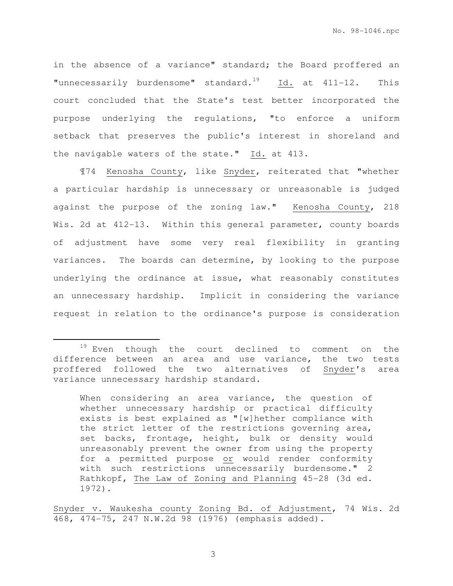in the absence of a variance" standard; the Board proffered an "unnecessarily burdensome" standard. $19$  Id. at  $411-12$ . This court concluded that the State's test better incorporated the purpose underlying the regulations, "to enforce a uniform setback that preserves the public's interest in shoreland and the navigable waters of the state." Id. at 413.

¶74 Kenosha County, like Snyder, reiterated that "whether a particular hardship is unnecessary or unreasonable is judged against the purpose of the zoning law." Kenosha County, 218 Wis. 2d at 412-13. Within this general parameter, county boards of adjustment have some very real flexibility in granting variances. The boards can determine, by looking to the purpose underlying the ordinance at issue, what reasonably constitutes an unnecessary hardship. Implicit in considering the variance request in relation to the ordinance's purpose is consideration

e<br>S

<sup>19</sup> Even though the court declined to comment on the difference between an area and use variance, the two tests proffered followed the two alternatives of Snyder's area variance unnecessary hardship standard.

When considering an area variance, the question of whether unnecessary hardship or practical difficulty exists is best explained as "[w]hether compliance with the strict letter of the restrictions governing area, set backs, frontage, height, bulk or density would unreasonably prevent the owner from using the property for a permitted purpose or would render conformity with such restrictions unnecessarily burdensome." 2 Rathkopf, The Law of Zoning and Planning 45-28 (3d ed. 1972).

Snyder v. Waukesha county Zoning Bd. of Adjustment, 74 Wis. 2d 468, 474-75, 247 N.W.2d 98 (1976) (emphasis added).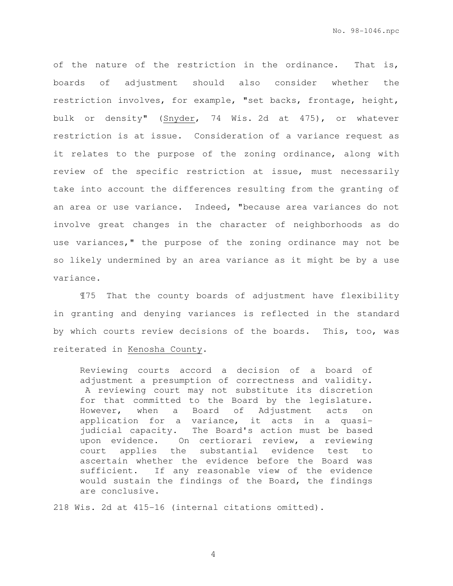of the nature of the restriction in the ordinance. That is, boards of adjustment should also consider whether the restriction involves, for example, "set backs, frontage, height, bulk or density" (Snyder, 74 Wis. 2d at 475), or whatever restriction is at issue. Consideration of a variance request as it relates to the purpose of the zoning ordinance, along with review of the specific restriction at issue, must necessarily take into account the differences resulting from the granting of an area or use variance. Indeed, "because area variances do not involve great changes in the character of neighborhoods as do use variances," the purpose of the zoning ordinance may not be so likely undermined by an area variance as it might be by a use variance.

¶75 That the county boards of adjustment have flexibility in granting and denying variances is reflected in the standard by which courts review decisions of the boards. This, too, was reiterated in Kenosha County.

Reviewing courts accord a decision of a board of adjustment a presumption of correctness and validity. A reviewing court may not substitute its discretion for that committed to the Board by the legislature. However, when a Board of Adjustment acts on application for a variance, it acts in a quasijudicial capacity. The Board's action must be based upon evidence. On certiorari review, a reviewing court applies the substantial evidence test to ascertain whether the evidence before the Board was sufficient. If any reasonable view of the evidence would sustain the findings of the Board, the findings are conclusive.

218 Wis. 2d at 415-16 (internal citations omitted).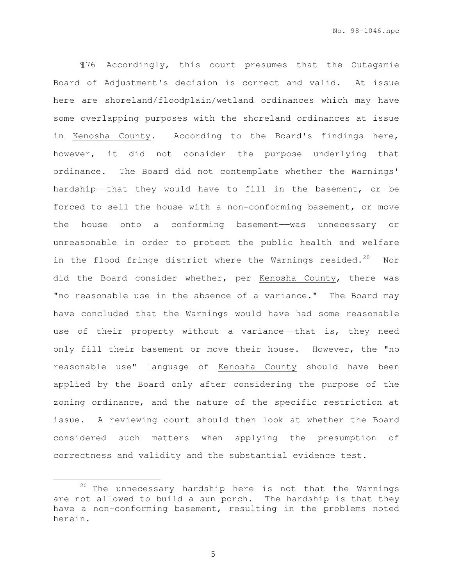¶76 Accordingly, this court presumes that the Outagamie Board of Adjustment's decision is correct and valid. At issue here are shoreland/floodplain/wetland ordinances which may have some overlapping purposes with the shoreland ordinances at issue in Kenosha County. According to the Board's findings here, however, it did not consider the purpose underlying that ordinance. The Board did not contemplate whether the Warnings' hardship——that they would have to fill in the basement, or be forced to sell the house with a non-conforming basement, or move the house onto a conforming basement-was unnecessary or unreasonable in order to protect the public health and welfare in the flood fringe district where the Warnings resided.<sup>20</sup> Nor did the Board consider whether, per Kenosha County, there was "no reasonable use in the absence of a variance." The Board may have concluded that the Warnings would have had some reasonable use of their property without a variance—that is, they need only fill their basement or move their house. However, the "no reasonable use" language of Kenosha County should have been applied by the Board only after considering the purpose of the zoning ordinance, and the nature of the specific restriction at issue. A reviewing court should then look at whether the Board considered such matters when applying the presumption of correctness and validity and the substantial evidence test.

5

e<br>S

 $20$  The unnecessary hardship here is not that the Warnings are not allowed to build a sun porch. The hardship is that they have a non-conforming basement, resulting in the problems noted herein.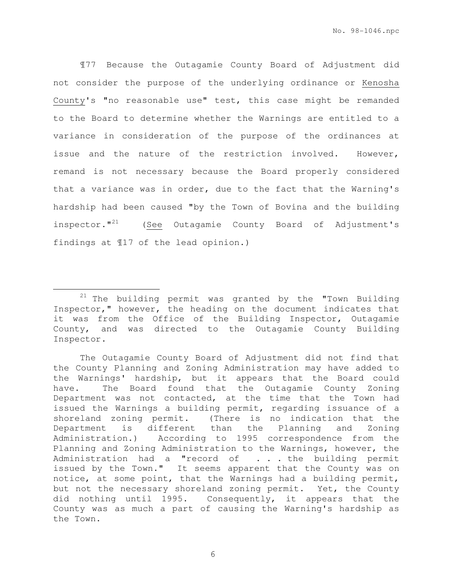¶77 Because the Outagamie County Board of Adjustment did not consider the purpose of the underlying ordinance or Kenosha County's "no reasonable use" test, this case might be remanded to the Board to determine whether the Warnings are entitled to a variance in consideration of the purpose of the ordinances at issue and the nature of the restriction involved. However, remand is not necessary because the Board properly considered that a variance was in order, due to the fact that the Warning's hardship had been caused "by the Town of Bovina and the building inspector."<sup>21</sup> (See Outagamie County Board of Adjustment's findings at ¶17 of the lead opinion.)

e<br>S

 $21$  The building permit was granted by the "Town Building Inspector," however, the heading on the document indicates that it was from the Office of the Building Inspector, Outagamie County, and was directed to the Outagamie County Building Inspector.

The Outagamie County Board of Adjustment did not find that the County Planning and Zoning Administration may have added to the Warnings' hardship, but it appears that the Board could have. The Board found that the Outagamie County Zoning Department was not contacted, at the time that the Town had issued the Warnings a building permit, regarding issuance of a shoreland zoning permit. (There is no indication that the Department is different than the Planning and Zoning Administration.) According to 1995 correspondence from the Planning and Zoning Administration to the Warnings, however, the Administration had a "record of . . . the building permit issued by the Town." It seems apparent that the County was on notice, at some point, that the Warnings had a building permit, but not the necessary shoreland zoning permit. Yet, the County did nothing until 1995. Consequently, it appears that the County was as much a part of causing the Warning's hardship as the Town.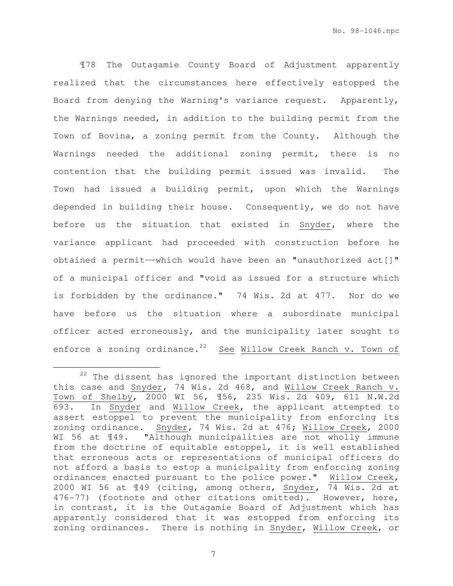¶78 The Outagamie County Board of Adjustment apparently realized that the circumstances here effectively estopped the Board from denying the Warning's variance request. Apparently, the Warnings needed, in addition to the building permit from the Town of Bovina, a zoning permit from the County. Although the Warnings needed the additional zoning permit, there is no contention that the building permit issued was invalid. The Town had issued a building permit, upon which the Warnings depended in building their house. Consequently, we do not have before us the situation that existed in Snyder, where the variance applicant had proceeded with construction before he obtained a permit——which would have been an "unauthorized act[]" of a municipal officer and "void as issued for a structure which is forbidden by the ordinance." 74 Wis. 2d at 477. Nor do we have before us the situation where a subordinate municipal officer acted erroneously, and the municipality later sought to enforce a zoning ordinance.<sup>22</sup> See Willow Creek Ranch v. Town of

e<br>S

 $22$  The dissent has ignored the important distinction between this case and Snyder, 74 Wis. 2d 468, and Willow Creek Ranch v. Town of Shelby, 2000 WI 56, ¶56, 235 Wis. 2d 409, 611 N.W.2d 693. In Snyder and Willow Creek, the applicant attempted to assert estoppel to prevent the municipality from enforcing its zoning ordinance. Snyder, 74 Wis. 2d at 476; Willow Creek, 2000 WI 56 at 149. "Although municipalities are not wholly immune from the doctrine of equitable estoppel, it is well established that erroneous acts or representations of municipal officers do not afford a basis to estop a municipality from enforcing zoning ordinances enacted pursuant to the police power." Willow Creek, 2000 WI 56 at ¶49 (citing, among others, Snyder, 74 Wis. 2d at 476-77) (footnote and other citations omitted). However, here, in contrast, it is the Outagamie Board of Adjustment which has apparently considered that it was estopped from enforcing its zoning ordinances. There is nothing in Snyder, Willow Creek, or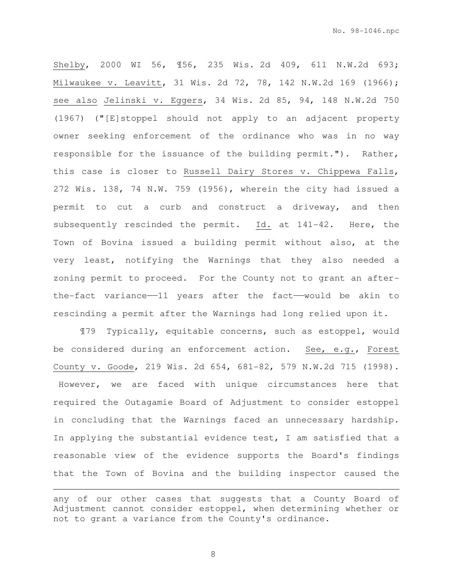Shelby, 2000 WI 56, ¶56, 235 Wis. 2d 409, 611 N.W.2d 693; Milwaukee v. Leavitt, 31 Wis. 2d 72, 78, 142 N.W.2d 169 (1966); see also Jelinski v. Eggers, 34 Wis. 2d 85, 94, 148 N.W.2d 750 (1967) ("[E]stoppel should not apply to an adjacent property owner seeking enforcement of the ordinance who was in no way responsible for the issuance of the building permit."). Rather, this case is closer to Russell Dairy Stores v. Chippewa Falls, 272 Wis. 138, 74 N.W. 759 (1956), wherein the city had issued a permit to cut a curb and construct a driveway, and then subsequently rescinded the permit. Id. at 141-42. Here, the Town of Bovina issued a building permit without also, at the very least, notifying the Warnings that they also needed a zoning permit to proceed. For the County not to grant an afterthe-fact variance——11 years after the fact——would be akin to rescinding a permit after the Warnings had long relied upon it.

¶79 Typically, equitable concerns, such as estoppel, would be considered during an enforcement action. See, e.g., Forest County v. Goode, 219 Wis. 2d 654, 681-82, 579 N.W.2d 715 (1998). However, we are faced with unique circumstances here that required the Outagamie Board of Adjustment to consider estoppel in concluding that the Warnings faced an unnecessary hardship. In applying the substantial evidence test, I am satisfied that a reasonable view of the evidence supports the Board's findings that the Town of Bovina and the building inspector caused the

8

e<br>S

any of our other cases that suggests that a County Board of Adjustment cannot consider estoppel, when determining whether or not to grant a variance from the County's ordinance.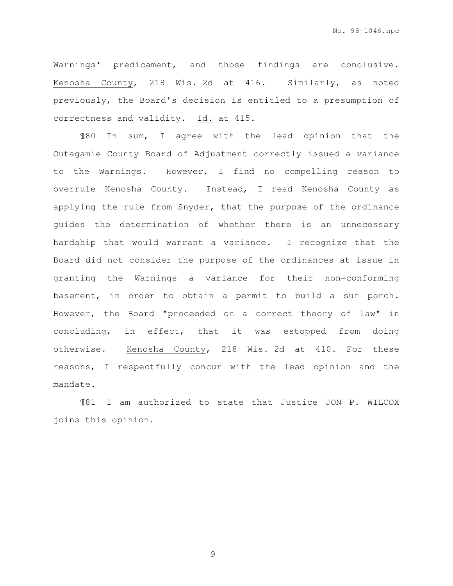No. 98-1046.npc

Warnings' predicament, and those findings are conclusive. Kenosha County, 218 Wis. 2d at 416. Similarly, as noted previously, the Board's decision is entitled to a presumption of correctness and validity. Id. at 415.

¶80 In sum, I agree with the lead opinion that the Outagamie County Board of Adjustment correctly issued a variance to the Warnings. However, I find no compelling reason to overrule Kenosha County. Instead, I read Kenosha County as applying the rule from Snyder, that the purpose of the ordinance guides the determination of whether there is an unnecessary hardship that would warrant a variance. I recognize that the Board did not consider the purpose of the ordinances at issue in granting the Warnings a variance for their non-conforming basement, in order to obtain a permit to build a sun porch. However, the Board "proceeded on a correct theory of law" in concluding, in effect, that it was estopped from doing otherwise. Kenosha County, 218 Wis. 2d at 410. For these reasons, I respectfully concur with the lead opinion and the mandate.

¶81 I am authorized to state that Justice JON P. WILCOX joins this opinion.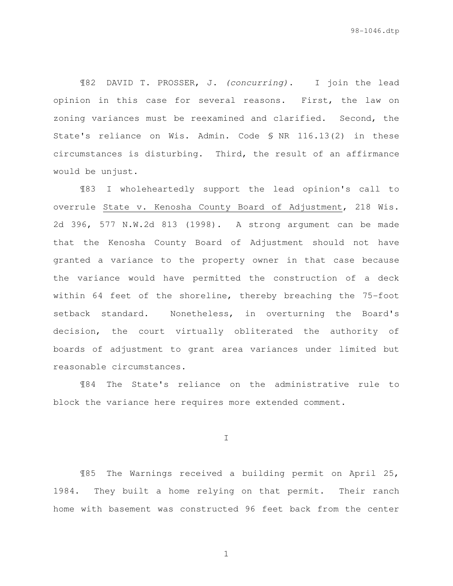¶82 DAVID T. PROSSER, J. (concurring). I join the lead opinion in this case for several reasons. First, the law on zoning variances must be reexamined and clarified. Second, the State's reliance on Wis. Admin. Code § NR 116.13(2) in these circumstances is disturbing. Third, the result of an affirmance would be unjust.

¶83 I wholeheartedly support the lead opinion's call to overrule State v. Kenosha County Board of Adjustment, 218 Wis. 2d 396, 577 N.W.2d 813 (1998). A strong argument can be made that the Kenosha County Board of Adjustment should not have granted a variance to the property owner in that case because the variance would have permitted the construction of a deck within 64 feet of the shoreline, thereby breaching the 75-foot setback standard. Nonetheless, in overturning the Board's decision, the court virtually obliterated the authority of boards of adjustment to grant area variances under limited but reasonable circumstances.

¶84 The State's reliance on the administrative rule to block the variance here requires more extended comment.

I

¶85 The Warnings received a building permit on April 25, 1984. They built a home relying on that permit. Their ranch home with basement was constructed 96 feet back from the center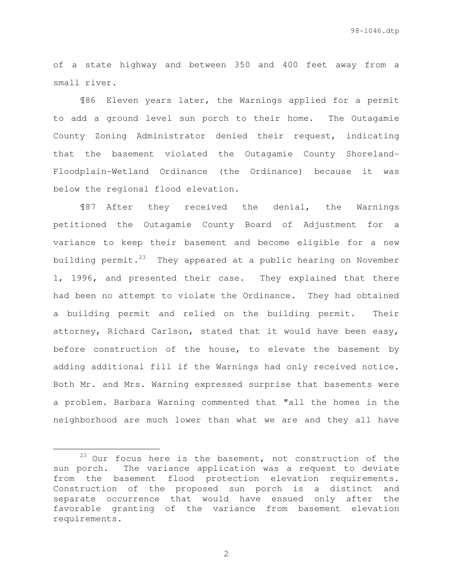of a state highway and between 350 and 400 feet away from a small river.

¶86 Eleven years later, the Warnings applied for a permit to add a ground level sun porch to their home. The Outagamie County Zoning Administrator denied their request, indicating that the basement violated the Outagamie County Shoreland-Floodplain-Wetland Ordinance (the Ordinance) because it was below the regional flood elevation.

¶87 After they received the denial, the Warnings petitioned the Outagamie County Board of Adjustment for a variance to keep their basement and become eligible for a new building permit. $23$  They appeared at a public hearing on November 1, 1996, and presented their case. They explained that there had been no attempt to violate the Ordinance. They had obtained a building permit and relied on the building permit. Their attorney, Richard Carlson, stated that it would have been easy, before construction of the house, to elevate the basement by adding additional fill if the Warnings had only received notice. Both Mr. and Mrs. Warning expressed surprise that basements were a problem. Barbara Warning commented that "all the homes in the neighborhood are much lower than what we are and they all have

e<br>S

 $23$  Our focus here is the basement, not construction of the sun porch. The variance application was a request to deviate from the basement flood protection elevation requirements. Construction of the proposed sun porch is a distinct and separate occurrence that would have ensued only after the favorable granting of the variance from basement elevation requirements.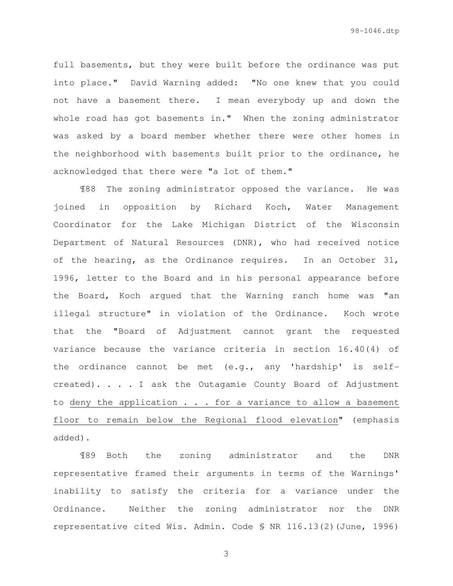full basements, but they were built before the ordinance was put into place." David Warning added: "No one knew that you could not have a basement there. I mean everybody up and down the whole road has got basements in." When the zoning administrator was asked by a board member whether there were other homes in the neighborhood with basements built prior to the ordinance, he acknowledged that there were "a lot of them."

¶88 The zoning administrator opposed the variance. He was joined in opposition by Richard Koch, Water Management Coordinator for the Lake Michigan District of the Wisconsin Department of Natural Resources (DNR), who had received notice of the hearing, as the Ordinance requires. In an October 31, 1996, letter to the Board and in his personal appearance before the Board, Koch argued that the Warning ranch home was "an illegal structure" in violation of the Ordinance. Koch wrote that the "Board of Adjustment cannot grant the requested variance because the variance criteria in section 16.40(4) of the ordinance cannot be met (e.g., any 'hardship' is selfcreated). . . . I ask the Outagamie County Board of Adjustment to deny the application . . . for a variance to allow a basement floor to remain below the Regional flood elevation" (emphasis added).

¶89 Both the zoning administrator and the DNR representative framed their arguments in terms of the Warnings' inability to satisfy the criteria for a variance under the Ordinance. Neither the zoning administrator nor the DNR representative cited Wis. Admin. Code § NR 116.13(2)(June, 1996)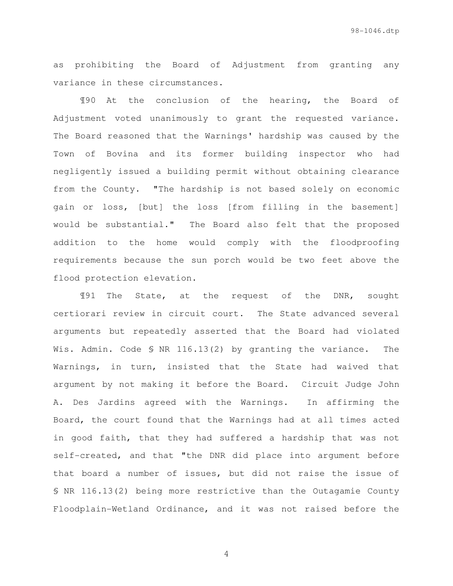as prohibiting the Board of Adjustment from granting any variance in these circumstances.

¶90 At the conclusion of the hearing, the Board of Adjustment voted unanimously to grant the requested variance. The Board reasoned that the Warnings' hardship was caused by the Town of Bovina and its former building inspector who had negligently issued a building permit without obtaining clearance from the County. "The hardship is not based solely on economic gain or loss, [but] the loss [from filling in the basement] would be substantial." The Board also felt that the proposed addition to the home would comply with the floodproofing requirements because the sun porch would be two feet above the flood protection elevation.

¶91 The State, at the request of the DNR, sought certiorari review in circuit court. The State advanced several arguments but repeatedly asserted that the Board had violated Wis. Admin. Code § NR 116.13(2) by granting the variance. The Warnings, in turn, insisted that the State had waived that argument by not making it before the Board. Circuit Judge John A. Des Jardins agreed with the Warnings. In affirming the Board, the court found that the Warnings had at all times acted in good faith, that they had suffered a hardship that was not self-created, and that "the DNR did place into argument before that board a number of issues, but did not raise the issue of § NR 116.13(2) being more restrictive than the Outagamie County Floodplain-Wetland Ordinance, and it was not raised before the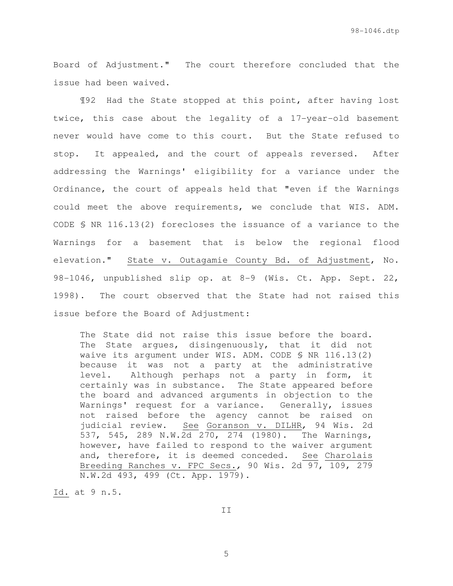Board of Adjustment." The court therefore concluded that the issue had been waived.

¶92 Had the State stopped at this point, after having lost twice, this case about the legality of a 17-year-old basement never would have come to this court. But the State refused to stop. It appealed, and the court of appeals reversed. After addressing the Warnings' eligibility for a variance under the Ordinance, the court of appeals held that "even if the Warnings could meet the above requirements, we conclude that WIS. ADM. CODE § NR 116.13(2) forecloses the issuance of a variance to the Warnings for a basement that is below the regional flood elevation." State v. Outagamie County Bd. of Adjustment, No. 98-1046, unpublished slip op. at 8-9 (Wis. Ct. App. Sept. 22, 1998). The court observed that the State had not raised this issue before the Board of Adjustment:

The State did not raise this issue before the board. The State argues, disingenuously, that it did not waive its argument under WIS. ADM. CODE § NR 116.13(2) because it was not a party at the administrative level. Although perhaps not a party in form, it certainly was in substance. The State appeared before the board and advanced arguments in objection to the Warnings' request for a variance. Generally, issues not raised before the agency cannot be raised on judicial review. See Goranson v. DILHR, 94 Wis. 2d 537, 545, 289 N.W.2d 270, 274 (1980). The Warnings, however, have failed to respond to the waiver argument and, therefore, it is deemed conceded. See Charolais Breeding Ranches v. FPC Secs., 90 Wis. 2d 97, 109, 279 N.W.2d 493, 499 (Ct. App. 1979).

Id. at 9 n.5.

II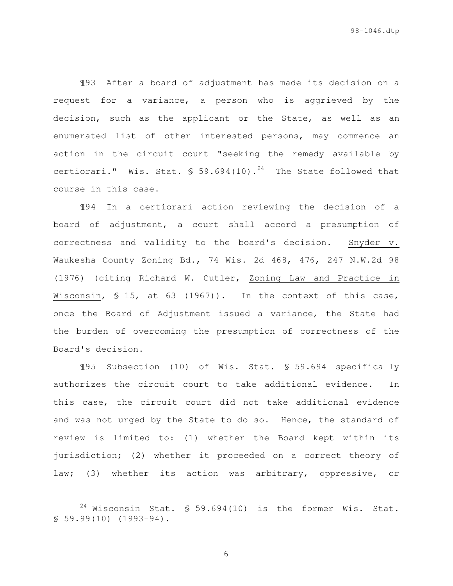¶93 After a board of adjustment has made its decision on a request for a variance, a person who is aggrieved by the decision, such as the applicant or the State, as well as an enumerated list of other interested persons, may commence an action in the circuit court "seeking the remedy available by certiorari." Wis. Stat.  $\frac{1}{2}$  59.694(10).<sup>24</sup> The State followed that course in this case.

¶94 In a certiorari action reviewing the decision of a board of adjustment, a court shall accord a presumption of correctness and validity to the board's decision. Snyder v. Waukesha County Zoning Bd., 74 Wis. 2d 468, 476, 247 N.W.2d 98 (1976) (citing Richard W. Cutler, Zoning Law and Practice in Wisconsin, § 15, at 63 (1967)). In the context of this case, once the Board of Adjustment issued a variance, the State had the burden of overcoming the presumption of correctness of the Board's decision.

¶95 Subsection (10) of Wis. Stat. § 59.694 specifically authorizes the circuit court to take additional evidence. In this case, the circuit court did not take additional evidence and was not urged by the State to do so. Hence, the standard of review is limited to: (1) whether the Board kept within its jurisdiction; (2) whether it proceeded on a correct theory of law; (3) whether its action was arbitrary, oppressive, or

e<br>S

 $24$  Wisconsin Stat. § 59.694(10) is the former Wis. Stat. § 59.99(10) (1993-94).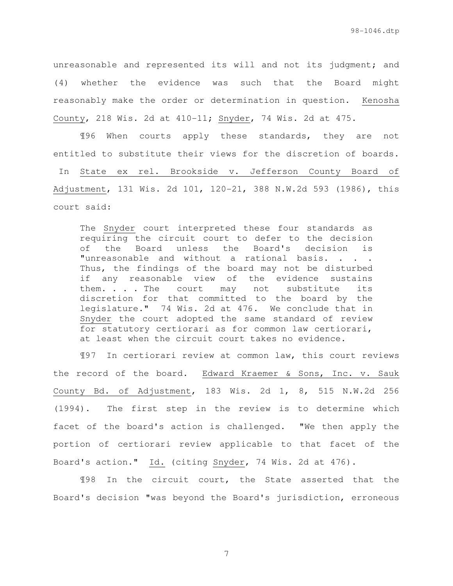unreasonable and represented its will and not its judgment; and (4) whether the evidence was such that the Board might reasonably make the order or determination in question. Kenosha County, 218 Wis. 2d at 410-11; Snyder, 74 Wis. 2d at 475.

¶96 When courts apply these standards, they are not entitled to substitute their views for the discretion of boards.

 In State ex rel. Brookside v. Jefferson County Board of Adjustment, 131 Wis. 2d 101, 120-21, 388 N.W.2d 593 (1986), this court said:

The Snyder court interpreted these four standards as requiring the circuit court to defer to the decision of the Board unless the Board's decision is "unreasonable and without a rational basis. . . . Thus, the findings of the board may not be disturbed if any reasonable view of the evidence sustains them. . . . The court may not substitute its discretion for that committed to the board by the legislature." 74 Wis. 2d at 476. We conclude that in Snyder the court adopted the same standard of review for statutory certiorari as for common law certiorari, at least when the circuit court takes no evidence.

¶97 In certiorari review at common law, this court reviews the record of the board. Edward Kraemer & Sons, Inc. v. Sauk County Bd. of Adjustment, 183 Wis. 2d 1, 8, 515 N.W.2d 256 (1994). The first step in the review is to determine which facet of the board's action is challenged. "We then apply the portion of certiorari review applicable to that facet of the Board's action." Id. (citing Snyder, 74 Wis. 2d at 476).

¶98 In the circuit court, the State asserted that the Board's decision "was beyond the Board's jurisdiction, erroneous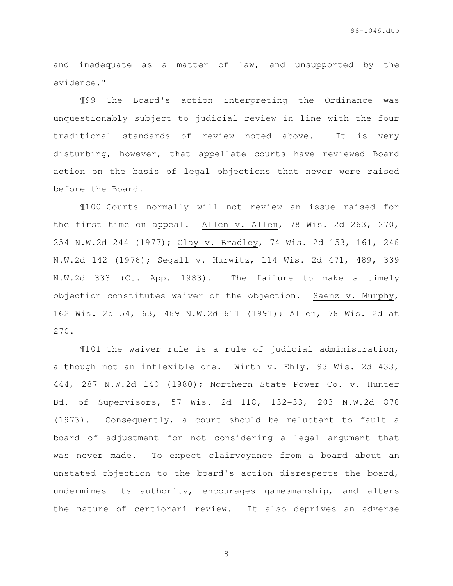and inadequate as a matter of law, and unsupported by the evidence."

¶99 The Board's action interpreting the Ordinance was unquestionably subject to judicial review in line with the four traditional standards of review noted above. It is very disturbing, however, that appellate courts have reviewed Board action on the basis of legal objections that never were raised before the Board.

¶100 Courts normally will not review an issue raised for the first time on appeal. Allen v. Allen, 78 Wis. 2d 263, 270, 254 N.W.2d 244 (1977); Clay v. Bradley, 74 Wis. 2d 153, 161, 246 N.W.2d 142 (1976); Segall v. Hurwitz, 114 Wis. 2d 471, 489, 339 N.W.2d 333 (Ct. App. 1983). The failure to make a timely objection constitutes waiver of the objection. Saenz v. Murphy, 162 Wis. 2d 54, 63, 469 N.W.2d 611 (1991); Allen, 78 Wis. 2d at 270.

¶101 The waiver rule is a rule of judicial administration, although not an inflexible one. Wirth v. Ehly, 93 Wis. 2d 433, 444, 287 N.W.2d 140 (1980); Northern State Power Co. v. Hunter Bd. of Supervisors, 57 Wis. 2d 118, 132-33, 203 N.W.2d 878 (1973). Consequently, a court should be reluctant to fault a board of adjustment for not considering a legal argument that was never made. To expect clairvoyance from a board about an unstated objection to the board's action disrespects the board, undermines its authority, encourages gamesmanship, and alters the nature of certiorari review. It also deprives an adverse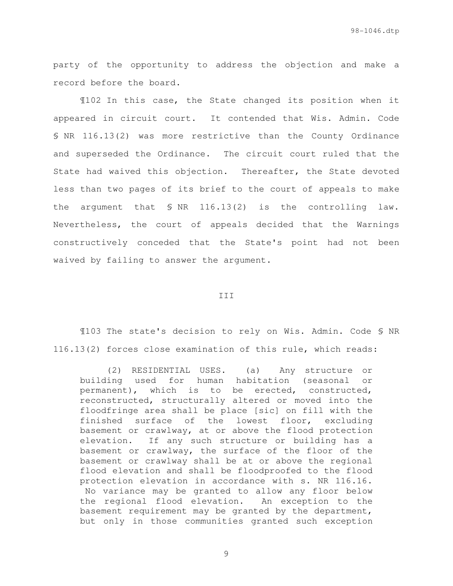party of the opportunity to address the objection and make a record before the board.

¶102 In this case, the State changed its position when it appeared in circuit court. It contended that Wis. Admin. Code § NR 116.13(2) was more restrictive than the County Ordinance and superseded the Ordinance. The circuit court ruled that the State had waived this objection. Thereafter, the State devoted less than two pages of its brief to the court of appeals to make the argument that § NR 116.13(2) is the controlling law. Nevertheless, the court of appeals decided that the Warnings constructively conceded that the State's point had not been waived by failing to answer the argument.

## III

¶103 The state's decision to rely on Wis. Admin. Code § NR 116.13(2) forces close examination of this rule, which reads:

(2) RESIDENTIAL USES. (a) Any structure or building used for human habitation (seasonal or permanent), which is to be erected, constructed, reconstructed, structurally altered or moved into the floodfringe area shall be place [sic] on fill with the finished surface of the lowest floor, excluding basement or crawlway, at or above the flood protection elevation. If any such structure or building has a basement or crawlway, the surface of the floor of the basement or crawlway shall be at or above the regional flood elevation and shall be floodproofed to the flood protection elevation in accordance with s. NR 116.16. No variance may be granted to allow any floor below the regional flood elevation. An exception to the basement requirement may be granted by the department, but only in those communities granted such exception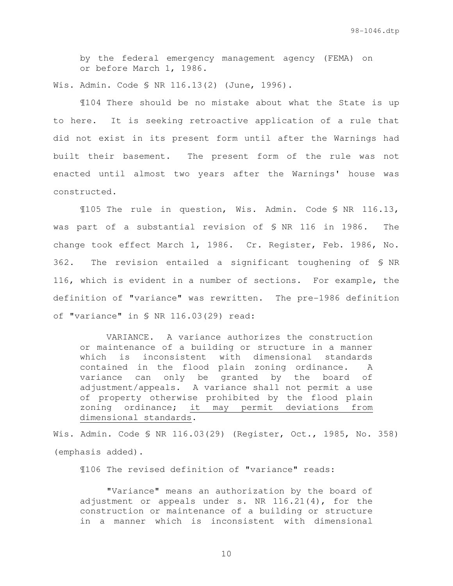by the federal emergency management agency (FEMA) on or before March 1, 1986.

Wis. Admin. Code § NR 116.13(2) (June, 1996).

¶104 There should be no mistake about what the State is up to here. It is seeking retroactive application of a rule that did not exist in its present form until after the Warnings had built their basement. The present form of the rule was not enacted until almost two years after the Warnings' house was constructed.

¶105 The rule in question, Wis. Admin. Code § NR 116.13, was part of a substantial revision of § NR 116 in 1986. The change took effect March 1, 1986. Cr. Register, Feb. 1986, No. 362. The revision entailed a significant toughening of § NR 116, which is evident in a number of sections. For example, the definition of "variance" was rewritten. The pre-1986 definition of "variance" in § NR 116.03(29) read:

VARIANCE. A variance authorizes the construction or maintenance of a building or structure in a manner which is inconsistent with dimensional standards contained in the flood plain zoning ordinance. A variance can only be granted by the board of adjustment/appeals. A variance shall not permit a use of property otherwise prohibited by the flood plain zoning ordinance; it may permit deviations from dimensional standards.

Wis. Admin. Code § NR 116.03(29) (Register, Oct., 1985, No. 358) (emphasis added).

¶106 The revised definition of "variance" reads:

"Variance" means an authorization by the board of adjustment or appeals under s. NR  $116.21(4)$ , for the construction or maintenance of a building or structure in a manner which is inconsistent with dimensional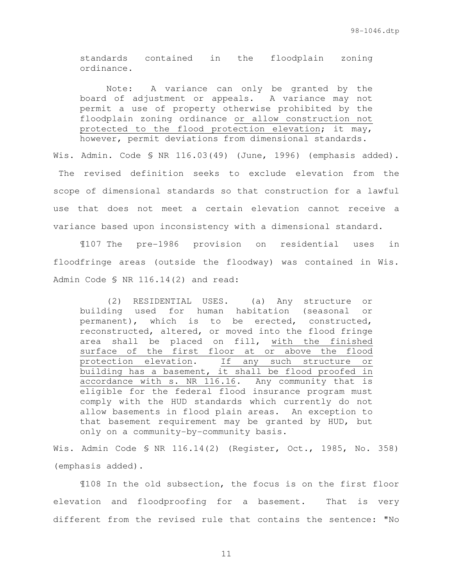standards contained in the floodplain zoning ordinance.

Note: A variance can only be granted by the board of adjustment or appeals. A variance may not permit a use of property otherwise prohibited by the floodplain zoning ordinance or allow construction not protected to the flood protection elevation; it may, however, permit deviations from dimensional standards.

Wis. Admin. Code § NR 116.03(49) (June, 1996) (emphasis added). The revised definition seeks to exclude elevation from the scope of dimensional standards so that construction for a lawful use that does not meet a certain elevation cannot receive a variance based upon inconsistency with a dimensional standard.

¶107 The pre-1986 provision on residential uses in floodfringe areas (outside the floodway) was contained in Wis. Admin Code § NR 116.14(2) and read:

(2) RESIDENTIAL USES. (a) Any structure or building used for human habitation (seasonal or permanent), which is to be erected, constructed, reconstructed, altered, or moved into the flood fringe area shall be placed on fill, with the finished surface of the first floor at or above the flood protection elevation. If any such structure or building has a basement, it shall be flood proofed in accordance with s. NR 116.16. Any community that is eligible for the federal flood insurance program must comply with the HUD standards which currently do not allow basements in flood plain areas. An exception to that basement requirement may be granted by HUD, but only on a community-by-community basis.

Wis. Admin Code § NR 116.14(2) (Register, Oct., 1985, No. 358) (emphasis added).

¶108 In the old subsection, the focus is on the first floor elevation and floodproofing for a basement. That is very different from the revised rule that contains the sentence: "No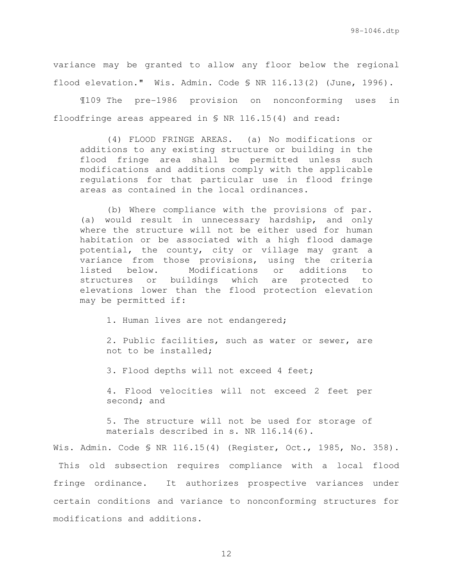variance may be granted to allow any floor below the regional flood elevation." Wis. Admin. Code § NR 116.13(2) (June, 1996).

 ¶109 The pre-1986 provision on nonconforming uses in floodfringe areas appeared in § NR 116.15(4) and read:

(4) FLOOD FRINGE AREAS. (a) No modifications or additions to any existing structure or building in the flood fringe area shall be permitted unless such modifications and additions comply with the applicable regulations for that particular use in flood fringe areas as contained in the local ordinances.

(b) Where compliance with the provisions of par. (a) would result in unnecessary hardship, and only where the structure will not be either used for human habitation or be associated with a high flood damage potential, the county, city or village may grant a variance from those provisions, using the criteria listed below. Modifications or additions to structures or buildings which are protected to elevations lower than the flood protection elevation may be permitted if:

1. Human lives are not endangered;

2. Public facilities, such as water or sewer, are not to be installed;

3. Flood depths will not exceed 4 feet;

4. Flood velocities will not exceed 2 feet per second; and

5. The structure will not be used for storage of materials described in s. NR 116.14(6).

Wis. Admin. Code § NR 116.15(4) (Register, Oct., 1985, No. 358). This old subsection requires compliance with a local flood fringe ordinance. It authorizes prospective variances under certain conditions and variance to nonconforming structures for modifications and additions.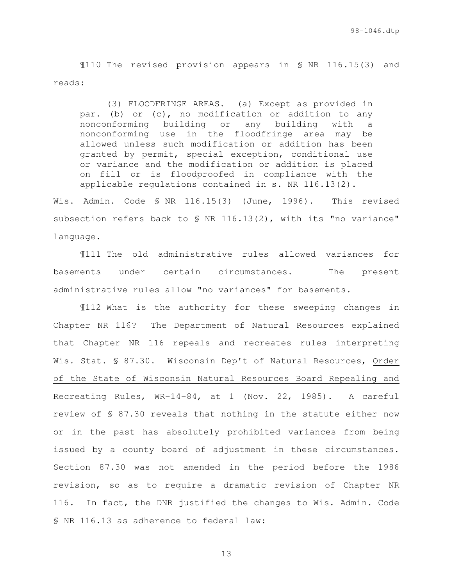¶110 The revised provision appears in § NR 116.15(3) and reads:

(3) FLOODFRINGE AREAS. (a) Except as provided in par. (b) or (c), no modification or addition to any nonconforming building or any building with a nonconforming use in the floodfringe area may be allowed unless such modification or addition has been granted by permit, special exception, conditional use or variance and the modification or addition is placed on fill or is floodproofed in compliance with the applicable regulations contained in s. NR 116.13(2).

Wis. Admin. Code § NR 116.15(3) (June, 1996). This revised subsection refers back to § NR 116.13(2), with its "no variance" language.

 ¶111 The old administrative rules allowed variances for basements under certain circumstances. The present administrative rules allow "no variances" for basements.

¶112 What is the authority for these sweeping changes in Chapter NR 116? The Department of Natural Resources explained that Chapter NR 116 repeals and recreates rules interpreting Wis. Stat. § 87.30. Wisconsin Dep't of Natural Resources, Order of the State of Wisconsin Natural Resources Board Repealing and Recreating Rules, WR-14-84, at 1 (Nov. 22, 1985). A careful review of § 87.30 reveals that nothing in the statute either now or in the past has absolutely prohibited variances from being issued by a county board of adjustment in these circumstances. Section 87.30 was not amended in the period before the 1986 revision, so as to require a dramatic revision of Chapter NR 116. In fact, the DNR justified the changes to Wis. Admin. Code § NR 116.13 as adherence to federal law: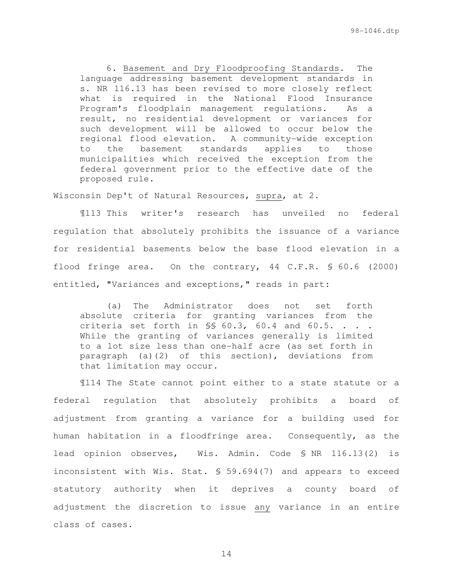6. Basement and Dry Floodproofing Standards. The language addressing basement development standards in s. NR 116.13 has been revised to more closely reflect what is required in the National Flood Insurance Program's floodplain management regulations. As a result, no residential development or variances for such development will be allowed to occur below the regional flood elevation. A community-wide exception to the basement standards applies to those municipalities which received the exception from the federal government prior to the effective date of the proposed rule.

Wisconsin Dep't of Natural Resources, supra, at 2.

¶113 This writer's research has unveiled no federal regulation that absolutely prohibits the issuance of a variance for residential basements below the base flood elevation in a flood fringe area. On the contrary, 44 C.F.R. § 60.6 (2000) entitled, "Variances and exceptions," reads in part:

(a) The Administrator does not set forth absolute criteria for granting variances from the criteria set forth in  $\$  60.3, 60.4 and 60.5. . . . While the granting of variances generally is limited to a lot size less than one-half acre (as set forth in paragraph (a)(2) of this section), deviations from that limitation may occur.

¶114 The State cannot point either to a state statute or a federal regulation that absolutely prohibits a board of adjustment from granting a variance for a building used for human habitation in a floodfringe area. Consequently, as the lead opinion observes, Wis. Admin. Code § NR 116.13(2) is inconsistent with Wis. Stat. § 59.694(7) and appears to exceed statutory authority when it deprives a county board of adjustment the discretion to issue any variance in an entire class of cases.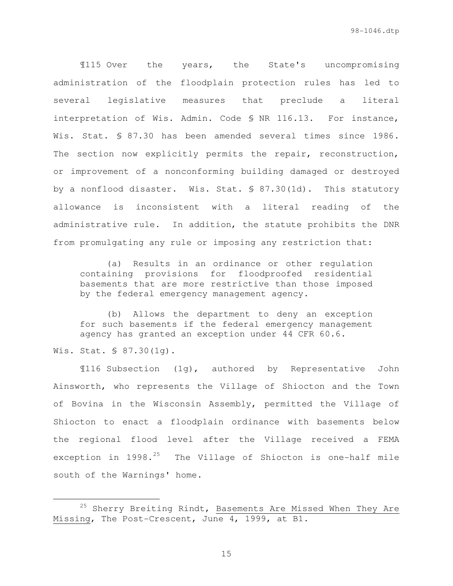¶115 Over the years, the State's uncompromising administration of the floodplain protection rules has led to several legislative measures that preclude a literal interpretation of Wis. Admin. Code § NR 116.13. For instance, Wis. Stat. § 87.30 has been amended several times since 1986. The section now explicitly permits the repair, reconstruction, or improvement of a nonconforming building damaged or destroyed by a nonflood disaster. Wis. Stat. § 87.30(1d). This statutory allowance is inconsistent with a literal reading of the administrative rule. In addition, the statute prohibits the DNR from promulgating any rule or imposing any restriction that:

(a) Results in an ordinance or other regulation containing provisions for floodproofed residential basements that are more restrictive than those imposed by the federal emergency management agency.

(b) Allows the department to deny an exception for such basements if the federal emergency management agency has granted an exception under 44 CFR 60.6.

Wis. Stat. § 87.30(1g).

e<br>S

¶116 Subsection (1g), authored by Representative John Ainsworth, who represents the Village of Shiocton and the Town of Bovina in the Wisconsin Assembly, permitted the Village of Shiocton to enact a floodplain ordinance with basements below the regional flood level after the Village received a FEMA exception in  $1998.^{25}$  The Village of Shiocton is one-half mile south of the Warnings' home.

<sup>&</sup>lt;sup>25</sup> Sherry Breiting Rindt, Basements Are Missed When They Are Missing, The Post-Crescent, June 4, 1999, at B1.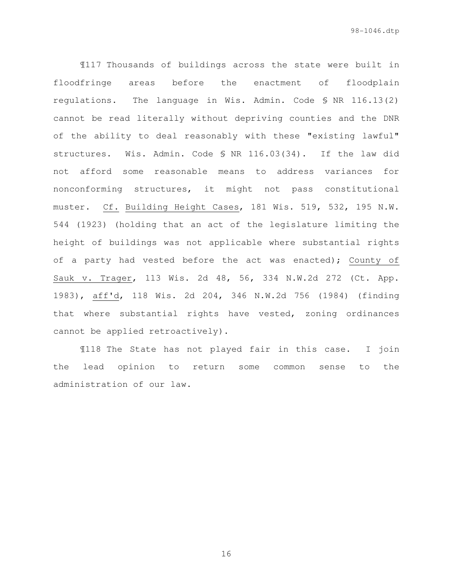¶117 Thousands of buildings across the state were built in floodfringe areas before the enactment of floodplain regulations. The language in Wis. Admin. Code § NR 116.13(2) cannot be read literally without depriving counties and the DNR of the ability to deal reasonably with these "existing lawful" structures. Wis. Admin. Code § NR 116.03(34). If the law did not afford some reasonable means to address variances for nonconforming structures, it might not pass constitutional muster. Cf. Building Height Cases, 181 Wis. 519, 532, 195 N.W. 544 (1923) (holding that an act of the legislature limiting the height of buildings was not applicable where substantial rights of a party had vested before the act was enacted); County of Sauk v. Trager, 113 Wis. 2d 48, 56, 334 N.W.2d 272 (Ct. App. 1983), aff'd, 118 Wis. 2d 204, 346 N.W.2d 756 (1984) (finding that where substantial rights have vested, zoning ordinances cannot be applied retroactively).

 ¶118 The State has not played fair in this case. I join the lead opinion to return some common sense to the administration of our law.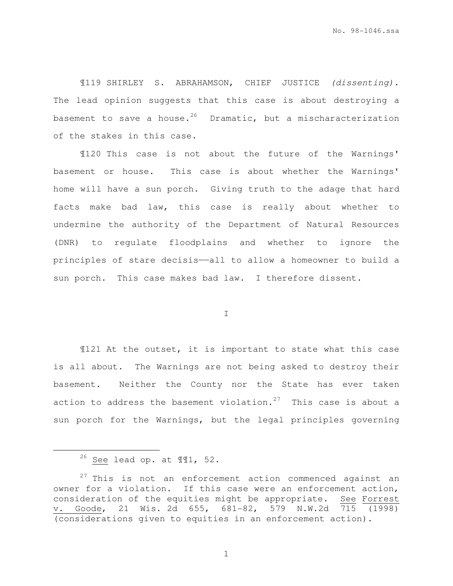¶119 SHIRLEY S. ABRAHAMSON, CHIEF JUSTICE (dissenting). The lead opinion suggests that this case is about destroying a basement to save a house.<sup>26</sup> Dramatic, but a mischaracterization of the stakes in this case.

¶120 This case is not about the future of the Warnings' basement or house. This case is about whether the Warnings' home will have a sun porch. Giving truth to the adage that hard facts make bad law, this case is really about whether to undermine the authority of the Department of Natural Resources (DNR) to regulate floodplains and whether to ignore the principles of stare decisis——all to allow a homeowner to build a sun porch. This case makes bad law. I therefore dissent.

I

¶121 At the outset, it is important to state what this case is all about. The Warnings are not being asked to destroy their basement. Neither the County nor the State has ever taken action to address the basement violation.<sup>27</sup> This case is about a sun porch for the Warnings, but the legal principles governing

e<br>S

 $26$  See lead op. at  $\P$  1, 52.

 $27$  This is not an enforcement action commenced against an owner for a violation. If this case were an enforcement action, consideration of the equities might be appropriate. See Forrest v. Goode, 21 Wis. 2d 655, 681-82, 579 N.W.2d 715 (1998) (considerations given to equities in an enforcement action).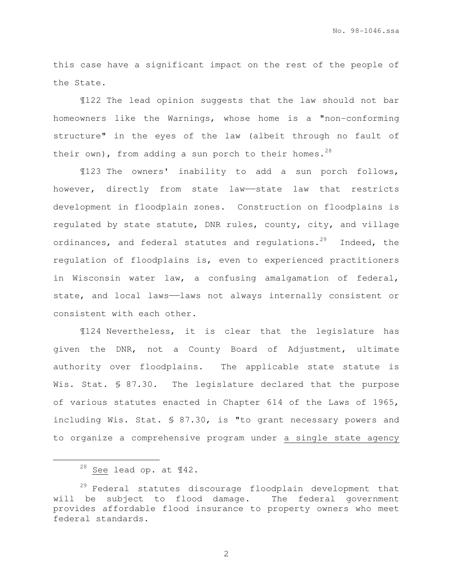this case have a significant impact on the rest of the people of the State.

¶122 The lead opinion suggests that the law should not bar homeowners like the Warnings, whose home is a "non-conforming structure" in the eyes of the law (albeit through no fault of their own), from adding a sun porch to their homes.<sup>28</sup>

¶123 The owners' inability to add a sun porch follows, however, directly from state law—state law that restricts development in floodplain zones. Construction on floodplains is regulated by state statute, DNR rules, county, city, and village ordinances, and federal statutes and regulations.<sup>29</sup> Indeed, the regulation of floodplains is, even to experienced practitioners in Wisconsin water law, a confusing amalgamation of federal, state, and local laws--laws not always internally consistent or consistent with each other.

¶124 Nevertheless, it is clear that the legislature has given the DNR, not a County Board of Adjustment, ultimate authority over floodplains. The applicable state statute is Wis. Stat. § 87.30. The legislature declared that the purpose of various statutes enacted in Chapter 614 of the Laws of 1965, including Wis. Stat. § 87.30, is "to grant necessary powers and to organize a comprehensive program under a single state agency

 $28$  See lead op. at  $\P{42}$ .

 $29$  Federal statutes discourage floodplain development that will be subject to flood damage. The federal government provides affordable flood insurance to property owners who meet federal standards.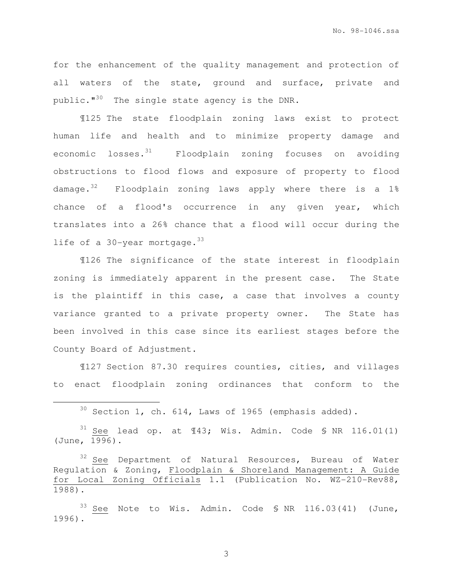No. 98-1046.ssa

for the enhancement of the quality management and protection of all waters of the state, ground and surface, private and public."<sup>30</sup> The single state agency is the DNR.

¶125 The state floodplain zoning laws exist to protect human life and health and to minimize property damage and economic losses. $31$  Floodplain zoning focuses on avoiding obstructions to flood flows and exposure of property to flood damage.<sup>32</sup> Floodplain zoning laws apply where there is a 1% chance of a flood's occurrence in any given year, which translates into a 26% chance that a flood will occur during the life of a  $30$ -year mortgage.  $33$ 

¶126 The significance of the state interest in floodplain zoning is immediately apparent in the present case. The State is the plaintiff in this case, a case that involves a county variance granted to a private property owner. The State has been involved in this case since its earliest stages before the County Board of Adjustment.

¶127 Section 87.30 requires counties, cities, and villages to enact floodplain zoning ordinances that conform to the

 $30$  Section 1, ch. 614, Laws of 1965 (emphasis added).

 $31$  See lead op. at  $\text{\texttt{I43;}}$  Wis. Admin. Code § NR 116.01(1) (June, 1996).

 $33$  See Note to Wis. Admin. Code § NR 116.03(41) (June, 1996).

 $32$  See Department of Natural Resources, Bureau of Water Regulation & Zoning, Floodplain & Shoreland Management: A Guide for Local Zoning Officials 1.1 (Publication No. WZ-210-Rev88, 1988).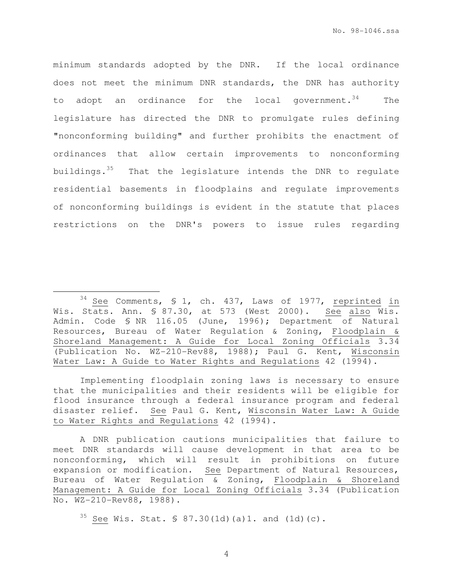minimum standards adopted by the DNR. If the local ordinance does not meet the minimum DNR standards, the DNR has authority to adopt an ordinance for the local government.  $34$  The legislature has directed the DNR to promulgate rules defining "nonconforming building" and further prohibits the enactment of ordinances that allow certain improvements to nonconforming buildings.<sup>35</sup> That the legislature intends the DNR to regulate residential basements in floodplains and regulate improvements of nonconforming buildings is evident in the statute that places restrictions on the DNR's powers to issue rules regarding

Implementing floodplain zoning laws is necessary to ensure that the municipalities and their residents will be eligible for flood insurance through a federal insurance program and federal disaster relief. See Paul G. Kent, Wisconsin Water Law: A Guide to Water Rights and Regulations 42 (1994).

A DNR publication cautions municipalities that failure to meet DNR standards will cause development in that area to be nonconforming, which will result in prohibitions on future expansion or modification. See Department of Natural Resources, Bureau of Water Regulation & Zoning, Floodplain & Shoreland Management: A Guide for Local Zoning Officials 3.34 (Publication No. WZ-210-Rev88, 1988).

 $35$  See Wis. Stat. § 87.30(1d)(a)1. and (1d)(c).

 $34$  See Comments, § 1, ch. 437, Laws of 1977, reprinted in Wis. Stats. Ann. § 87.30, at 573 (West 2000). See also Wis. Admin. Code § NR 116.05 (June, 1996); Department of Natural Resources, Bureau of Water Regulation & Zoning, Floodplain & Shoreland Management: A Guide for Local Zoning Officials 3.34 (Publication No. WZ-210-Rev88, 1988); Paul G. Kent, Wisconsin Water Law: A Guide to Water Rights and Regulations 42 (1994).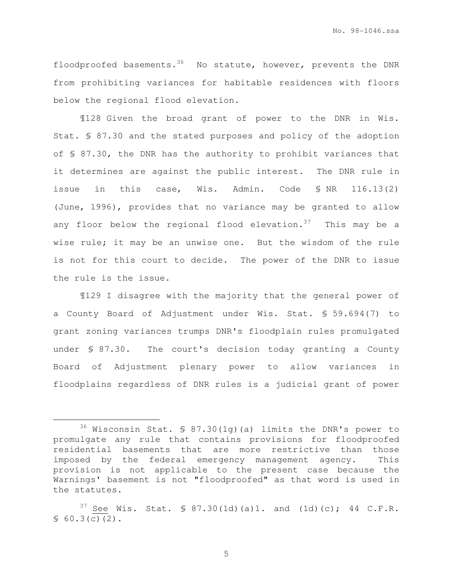No. 98-1046.ssa

floodproofed basements.<sup>36</sup> No statute, however, prevents the DNR from prohibiting variances for habitable residences with floors below the regional flood elevation.

¶128 Given the broad grant of power to the DNR in Wis. Stat. § 87.30 and the stated purposes and policy of the adoption of § 87.30, the DNR has the authority to prohibit variances that it determines are against the public interest. The DNR rule in issue in this case, Wis. Admin. Code § NR 116.13(2) (June, 1996), provides that no variance may be granted to allow any floor below the regional flood elevation. $37$  This may be a wise rule; it may be an unwise one. But the wisdom of the rule is not for this court to decide. The power of the DNR to issue the rule is the issue.

¶129 I disagree with the majority that the general power of a County Board of Adjustment under Wis. Stat. § 59.694(7) to grant zoning variances trumps DNR's floodplain rules promulgated under § 87.30. The court's decision today granting a County Board of Adjustment plenary power to allow variances in floodplains regardless of DNR rules is a judicial grant of power

 $36$  Wisconsin Stat. § 87.30(1g)(a) limits the DNR's power to promulgate any rule that contains provisions for floodproofed residential basements that are more restrictive than those imposed by the federal emergency management agency. This provision is not applicable to the present case because the Warnings' basement is not "floodproofed" as that word is used in the statutes.

<sup>&</sup>lt;sup>37</sup> See Wis. Stat. § 87.30(1d)(a)1. and (1d)(c); 44 C.F.R.  $$60.3(c)(2)$ .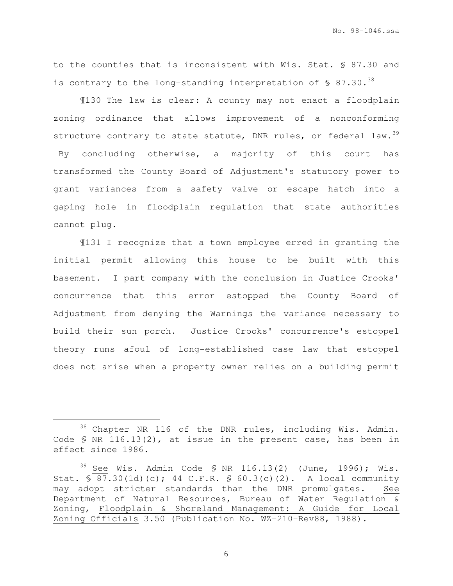to the counties that is inconsistent with Wis. Stat. § 87.30 and is contrary to the long-standing interpretation of  $\sqrt{5}$  87.30.<sup>38</sup>

¶130 The law is clear: A county may not enact a floodplain zoning ordinance that allows improvement of a nonconforming structure contrary to state statute, DNR rules, or federal law.  $39$  By concluding otherwise, a majority of this court has transformed the County Board of Adjustment's statutory power to grant variances from a safety valve or escape hatch into a gaping hole in floodplain regulation that state authorities cannot plug.

¶131 I recognize that a town employee erred in granting the initial permit allowing this house to be built with this basement. I part company with the conclusion in Justice Crooks' concurrence that this error estopped the County Board of Adjustment from denying the Warnings the variance necessary to build their sun porch. Justice Crooks' concurrence's estoppel theory runs afoul of long-established case law that estoppel does not arise when a property owner relies on a building permit

<sup>38</sup> Chapter NR 116 of the DNR rules, including Wis. Admin. Code § NR 116.13(2), at issue in the present case, has been in effect since 1986.

 $39$  See Wis. Admin Code § NR 116.13(2) (June, 1996); Wis. Stat. § 87.30(1d)(c); 44 C.F.R. § 60.3(c)(2). A local community may adopt stricter standards than the DNR promulgates. See Department of Natural Resources, Bureau of Water Regulation & Zoning, Floodplain & Shoreland Management: A Guide for Local Zoning Officials 3.50 (Publication No. WZ-210-Rev88, 1988).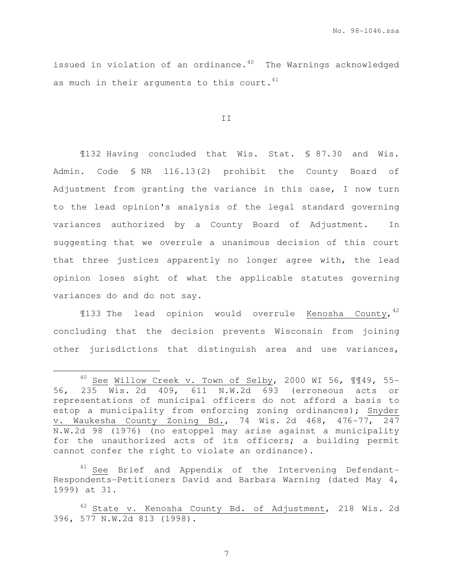issued in violation of an ordinance. $40$  The Warnings acknowledged as much in their arguments to this court.  $41$ 

II

¶132 Having concluded that Wis. Stat. § 87.30 and Wis. Admin. Code § NR 116.13(2) prohibit the County Board of Adjustment from granting the variance in this case, I now turn to the lead opinion's analysis of the legal standard governing variances authorized by a County Board of Adjustment.In suggesting that we overrule a unanimous decision of this court that three justices apparently no longer agree with, the lead opinion loses sight of what the applicable statutes governing variances do and do not say.

 $\verb|133 The$  lead opinion would overrule Kenosha County,  $^{42}$ concluding that the decision prevents Wisconsin from joining other jurisdictions that distinguish area and use variances,

 $41$  See Brief and Appendix of the Intervening Defendant-Respondents-Petitioners David and Barbara Warning (dated May 4, 1999) at 31.

 $40$  See Willow Creek v. Town of Selby, 2000 WI 56,  $\P$  $\P$  $49$ , 55-56, 235 Wis. 2d 409, 611 N.W.2d 693 (erroneous acts or representations of municipal officers do not afford a basis to estop a municipality from enforcing zoning ordinances); Snyder v. Waukesha County Zoning Bd., 74 Wis. 2d 468, 476-77, 247 N.W.2d 98 (1976) (no estoppel may arise against a municipality for the unauthorized acts of its officers; a building permit cannot confer the right to violate an ordinance).

 $42$  State v. Kenosha County Bd. of Adjustment, 218 Wis. 2d 396, 577 N.W.2d 813 (1998).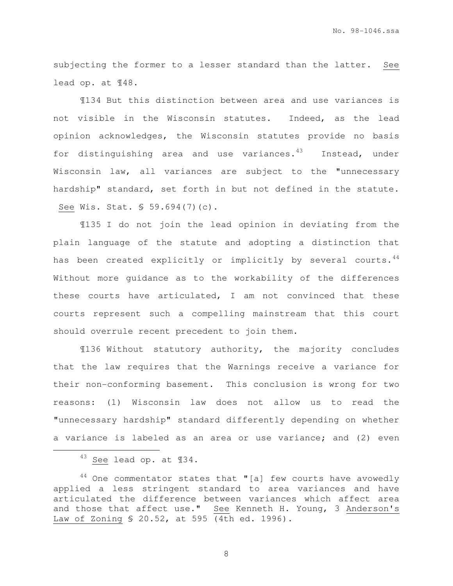subjecting the former to a lesser standard than the latter. See lead op. at ¶48.

¶134 But this distinction between area and use variances is not visible in the Wisconsin statutes. Indeed, as the lead opinion acknowledges, the Wisconsin statutes provide no basis for distinguishing area and use variances. $43$  Instead, under Wisconsin law, all variances are subject to the "unnecessary hardship" standard, set forth in but not defined in the statute. See Wis. Stat. § 59.694(7)(c).

¶135 I do not join the lead opinion in deviating from the plain language of the statute and adopting a distinction that has been created explicitly or implicitly by several courts.<sup>44</sup> Without more guidance as to the workability of the differences these courts have articulated, I am not convinced that these courts represent such a compelling mainstream that this court should overrule recent precedent to join them.

¶136 Without statutory authority, the majority concludes that the law requires that the Warnings receive a variance for their non-conforming basement. This conclusion is wrong for two reasons: (1) Wisconsin law does not allow us to read the "unnecessary hardship" standard differently depending on whether a variance is labeled as an area or use variance; and (2) even

i<br>H

<sup>43</sup> See lead op. at ¶34.

 $44$  One commentator states that "[a] few courts have avowedly applied a less stringent standard to area variances and have articulated the difference between variances which affect area and those that affect use." See Kenneth H. Young, 3 Anderson's Law of Zoning § 20.52, at 595 (4th ed. 1996).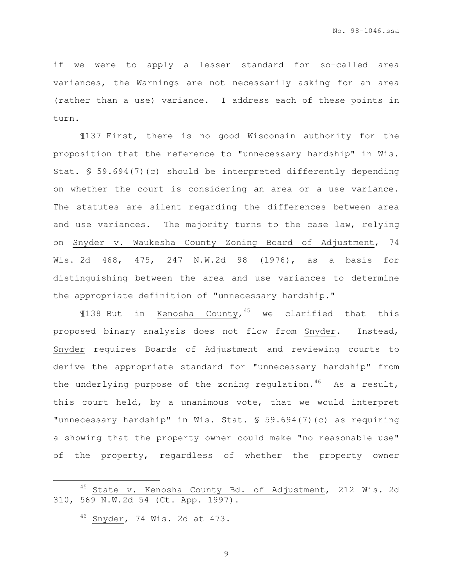if we were to apply a lesser standard for so-called area variances, the Warnings are not necessarily asking for an area (rather than a use) variance. I address each of these points in turn.

¶137 First, there is no good Wisconsin authority for the proposition that the reference to "unnecessary hardship" in Wis. Stat. § 59.694(7)(c) should be interpreted differently depending on whether the court is considering an area or a use variance. The statutes are silent regarding the differences between area and use variances. The majority turns to the case law, relying on Snyder v. Waukesha County Zoning Board of Adjustment, 74 Wis. 2d 468, 475, 247 N.W.2d 98 (1976), as a basis for distinguishing between the area and use variances to determine the appropriate definition of "unnecessary hardship."

¶138 But in Kenosha County, <sup>45</sup> we clarified that this proposed binary analysis does not flow from Snyder. Instead, Snyder requires Boards of Adjustment and reviewing courts to derive the appropriate standard for "unnecessary hardship" from the underlying purpose of the zoning regulation.<sup>46</sup> As a result, this court held, by a unanimous vote, that we would interpret "unnecessary hardship" in Wis. Stat. § 59.694(7)(c) as requiring a showing that the property owner could make "no reasonable use" of the property, regardless of whether the property owner

i<br>H

<sup>45</sup> State v. Kenosha County Bd. of Adjustment, 212 Wis. 2d 310, 569 N.W.2d 54 (Ct. App. 1997).

<sup>46</sup> Snyder, 74 Wis. 2d at 473.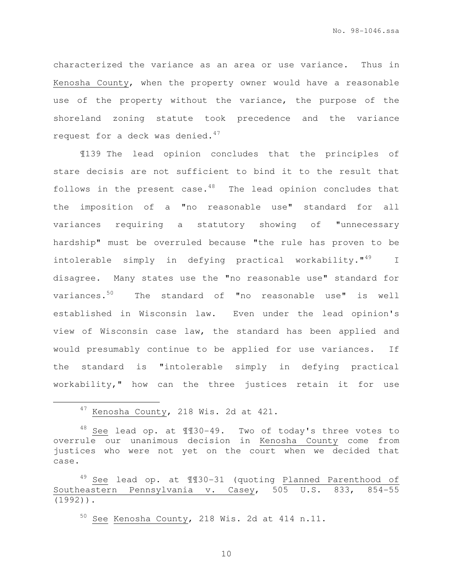characterized the variance as an area or use variance. Thus in Kenosha County, when the property owner would have a reasonable use of the property without the variance, the purpose of the shoreland zoning statute took precedence and the variance request for a deck was denied. $47$ 

¶139 The lead opinion concludes that the principles of stare decisis are not sufficient to bind it to the result that follows in the present case. $48$  The lead opinion concludes that the imposition of a "no reasonable use" standard for all variances requiring a statutory showing of "unnecessary hardship" must be overruled because "the rule has proven to be intolerable simply in defying practical workability."<sup>49</sup> I disagree. Many states use the "no reasonable use" standard for variances.<sup>50</sup> The standard of "no reasonable use" is well established in Wisconsin law. Even under the lead opinion's view of Wisconsin case law, the standard has been applied and would presumably continue to be applied for use variances. If the standard is "intolerable simply in defying practical workability," how can the three justices retain it for use

i<br>H

49 See lead op. at 1130-31 (quoting Planned Parenthood of Southeastern Pennsylvania v. Casey, 505 U.S. 833, 854-55 (1992)).

 $50$  See Kenosha County, 218 Wis. 2d at 414 n.11.

<sup>47</sup> Kenosha County, 218 Wis. 2d at 421.

 $48$  See lead op. at  $\text{$\mathbb{H}$}30-49$ . Two of today's three votes to overrule our unanimous decision in Kenosha County come from justices who were not yet on the court when we decided that case.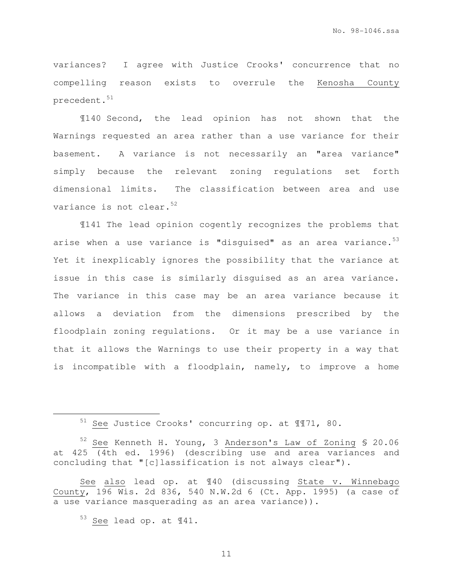variances? I agree with Justice Crooks' concurrence that no compelling reason exists to overrule the Kenosha County precedent.<sup>51</sup>

¶140 Second, the lead opinion has not shown that the Warnings requested an area rather than a use variance for their basement. A variance is not necessarily an "area variance" simply because the relevant zoning regulations set forth dimensional limits. The classification between area and use variance is not clear.<sup>52</sup>

¶141 The lead opinion cogently recognizes the problems that arise when a use variance is "disguised" as an area variance. $53$ Yet it inexplicably ignores the possibility that the variance at issue in this case is similarly disguised as an area variance. The variance in this case may be an area variance because it allows a deviation from the dimensions prescribed by the floodplain zoning regulations. Or it may be a use variance in that it allows the Warnings to use their property in a way that is incompatible with a floodplain, namely, to improve a home

i<br>H

<sup>51</sup> See Justice Crooks' concurring op. at ¶¶71, 80.

<sup>52</sup> See Kenneth H. Young, 3 Anderson's Law of Zoning § 20.06 at 425 (4th ed. 1996) (describing use and area variances and concluding that "[c]lassification is not always clear").

See also lead op. at ¶40 (discussing State v. Winnebago County, 196 Wis. 2d 836, 540 N.W.2d 6 (Ct. App. 1995) (a case of a use variance masquerading as an area variance)).

<sup>53</sup> See lead op. at ¶41.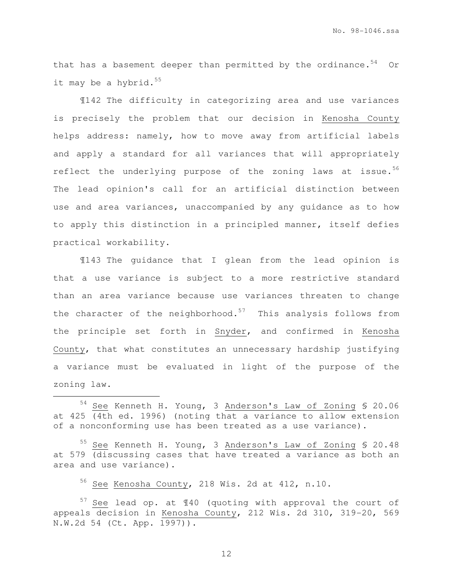that has a basement deeper than permitted by the ordinance. $54$  Or it may be a hybrid. $55$ 

¶142 The difficulty in categorizing area and use variances is precisely the problem that our decision in Kenosha County helps address: namely, how to move away from artificial labels and apply a standard for all variances that will appropriately reflect the underlying purpose of the zoning laws at issue.<sup>56</sup> The lead opinion's call for an artificial distinction between use and area variances, unaccompanied by any guidance as to how to apply this distinction in a principled manner, itself defies practical workability.

¶143 The guidance that I glean from the lead opinion is that a use variance is subject to a more restrictive standard than an area variance because use variances threaten to change the character of the neighborhood. $57$  This analysis follows from the principle set forth in Snyder, and confirmed in Kenosha County, that what constitutes an unnecessary hardship justifying a variance must be evaluated in light of the purpose of the zoning law.

<sup>55</sup> See Kenneth H. Young, 3 Anderson's Law of Zoning § 20.48 at 579 (discussing cases that have treated a variance as both an area and use variance).

<sup>56</sup> See Kenosha County, 218 Wis. 2d at 412, n.10.

i<br>H

 $57$  See lead op. at  $140$  (quoting with approval the court of appeals decision in Kenosha County, 212 Wis. 2d 310, 319-20, 569 N.W.2d 54 (Ct. App. 1997)).

<sup>54</sup> See Kenneth H. Young, 3 Anderson's Law of Zoning § 20.06 at 425 (4th ed. 1996) (noting that a variance to allow extension of a nonconforming use has been treated as a use variance).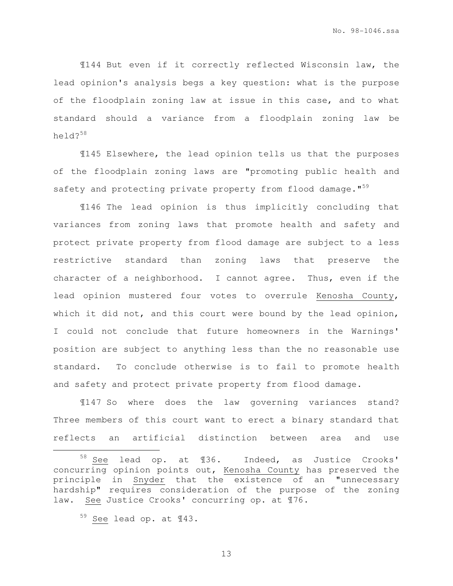¶144 But even if it correctly reflected Wisconsin law, the lead opinion's analysis begs a key question: what is the purpose of the floodplain zoning law at issue in this case, and to what standard should a variance from a floodplain zoning law be held?<sup>58</sup>

¶145 Elsewhere, the lead opinion tells us that the purposes of the floodplain zoning laws are "promoting public health and safety and protecting private property from flood damage."<sup>59</sup>

¶146 The lead opinion is thus implicitly concluding that variances from zoning laws that promote health and safety and protect private property from flood damage are subject to a less restrictive standard than zoning laws that preserve the character of a neighborhood. I cannot agree. Thus, even if the lead opinion mustered four votes to overrule Kenosha County, which it did not, and this court were bound by the lead opinion, I could not conclude that future homeowners in the Warnings' position are subject to anything less than the no reasonable use standard. To conclude otherwise is to fail to promote health and safety and protect private property from flood damage.

¶147 So where does the law governing variances stand? Three members of this court want to erect a binary standard that reflects an artificial distinction between area and use

i<br>H

See lead op. at ¶36. Indeed, as Justice Crooks' concurring opinion points out, Kenosha County has preserved the principle in Snyder that the existence of an "unnecessary hardship" requires consideration of the purpose of the zoning law. See Justice Crooks' concurring op. at ¶76.

<sup>59</sup> See lead op. at ¶43.